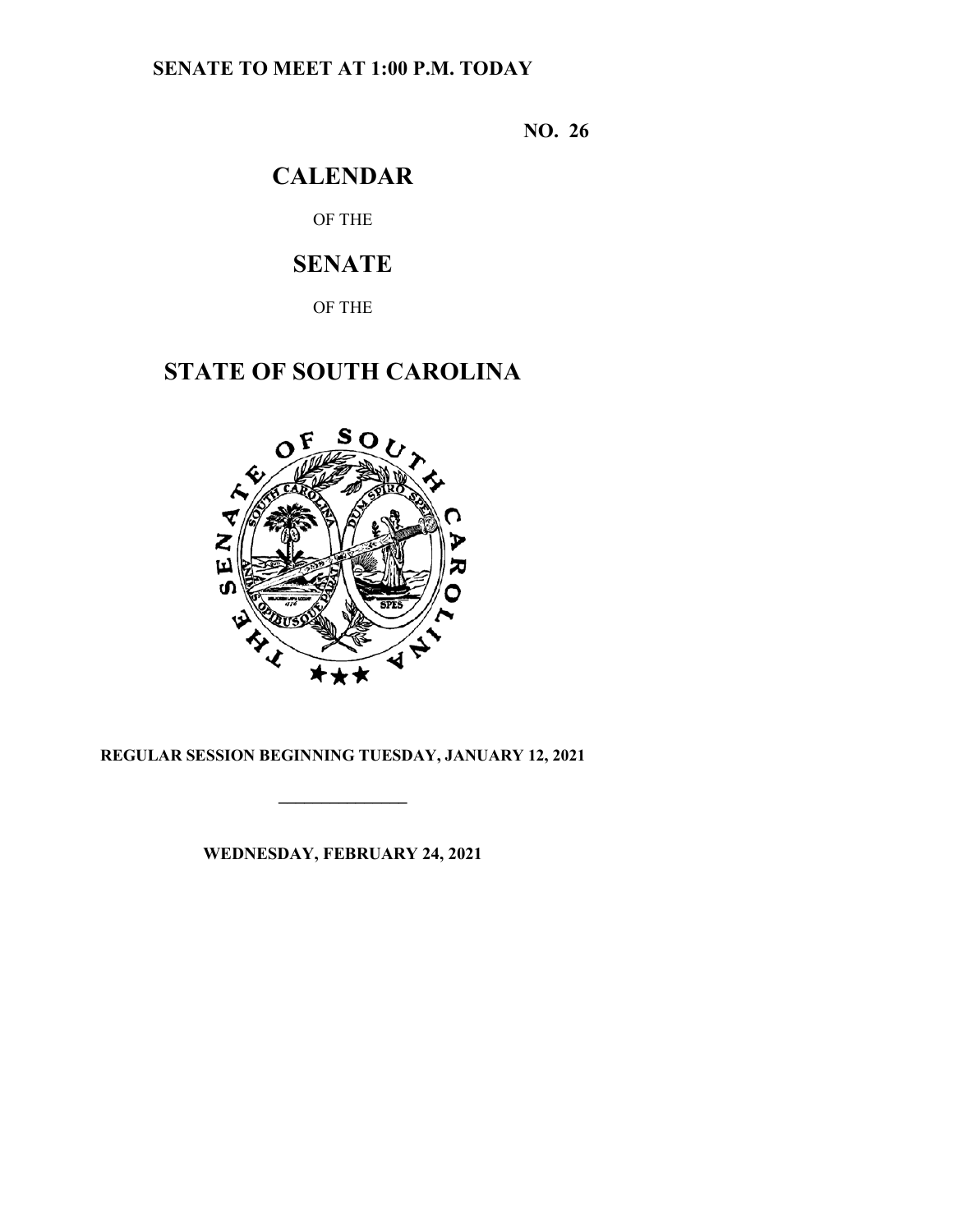# **SENATE TO MEET AT 1:00 P.M. TODAY**

**NO. 26**

# **CALENDAR**

OF THE

# **SENATE**

OF THE

# **STATE OF SOUTH CAROLINA**



## **REGULAR SESSION BEGINNING TUESDAY, JANUARY 12, 2021**

**\_\_\_\_\_\_\_\_\_\_\_\_\_\_\_**

**WEDNESDAY, FEBRUARY 24, 2021**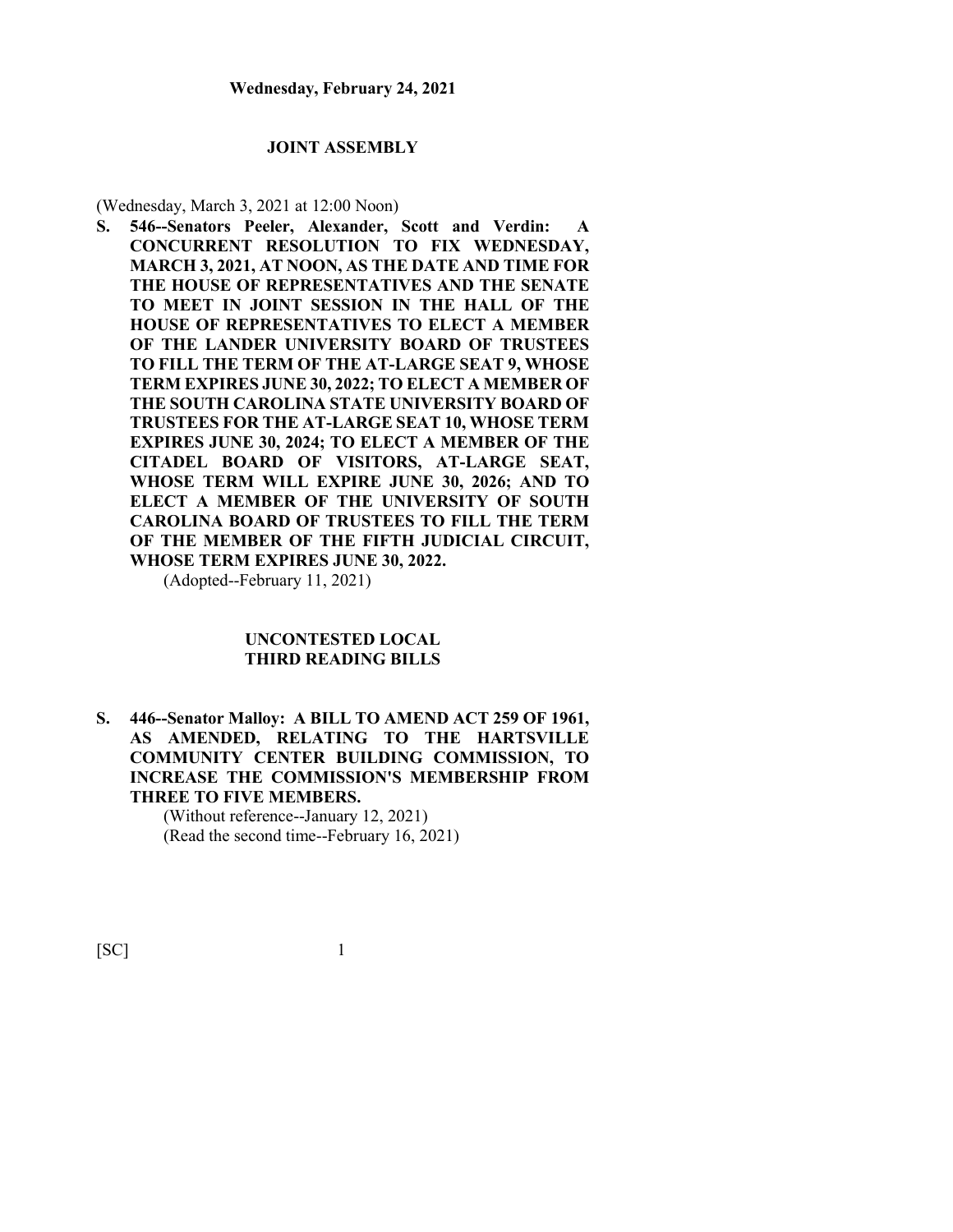#### **JOINT ASSEMBLY**

(Wednesday, March 3, 2021 at 12:00 Noon)

**S. 546--Senators Peeler, Alexander, Scott and Verdin: A CONCURRENT RESOLUTION TO FIX WEDNESDAY, MARCH 3, 2021, AT NOON, AS THE DATE AND TIME FOR THE HOUSE OF REPRESENTATIVES AND THE SENATE TO MEET IN JOINT SESSION IN THE HALL OF THE HOUSE OF REPRESENTATIVES TO ELECT A MEMBER OF THE LANDER UNIVERSITY BOARD OF TRUSTEES TO FILL THE TERM OF THE AT-LARGE SEAT 9, WHOSE TERM EXPIRES JUNE 30, 2022; TO ELECT A MEMBER OF THE SOUTH CAROLINA STATE UNIVERSITY BOARD OF TRUSTEES FOR THE AT-LARGE SEAT 10, WHOSE TERM EXPIRES JUNE 30, 2024; TO ELECT A MEMBER OF THE CITADEL BOARD OF VISITORS, AT-LARGE SEAT, WHOSE TERM WILL EXPIRE JUNE 30, 2026; AND TO ELECT A MEMBER OF THE UNIVERSITY OF SOUTH CAROLINA BOARD OF TRUSTEES TO FILL THE TERM OF THE MEMBER OF THE FIFTH JUDICIAL CIRCUIT, WHOSE TERM EXPIRES JUNE 30, 2022.**

(Adopted--February 11, 2021)

### **UNCONTESTED LOCAL THIRD READING BILLS**

**S. 446--Senator Malloy: A BILL TO AMEND ACT 259 OF 1961, AS AMENDED, RELATING TO THE HARTSVILLE COMMUNITY CENTER BUILDING COMMISSION, TO INCREASE THE COMMISSION'S MEMBERSHIP FROM THREE TO FIVE MEMBERS.**

> (Without reference--January 12, 2021) (Read the second time--February 16, 2021)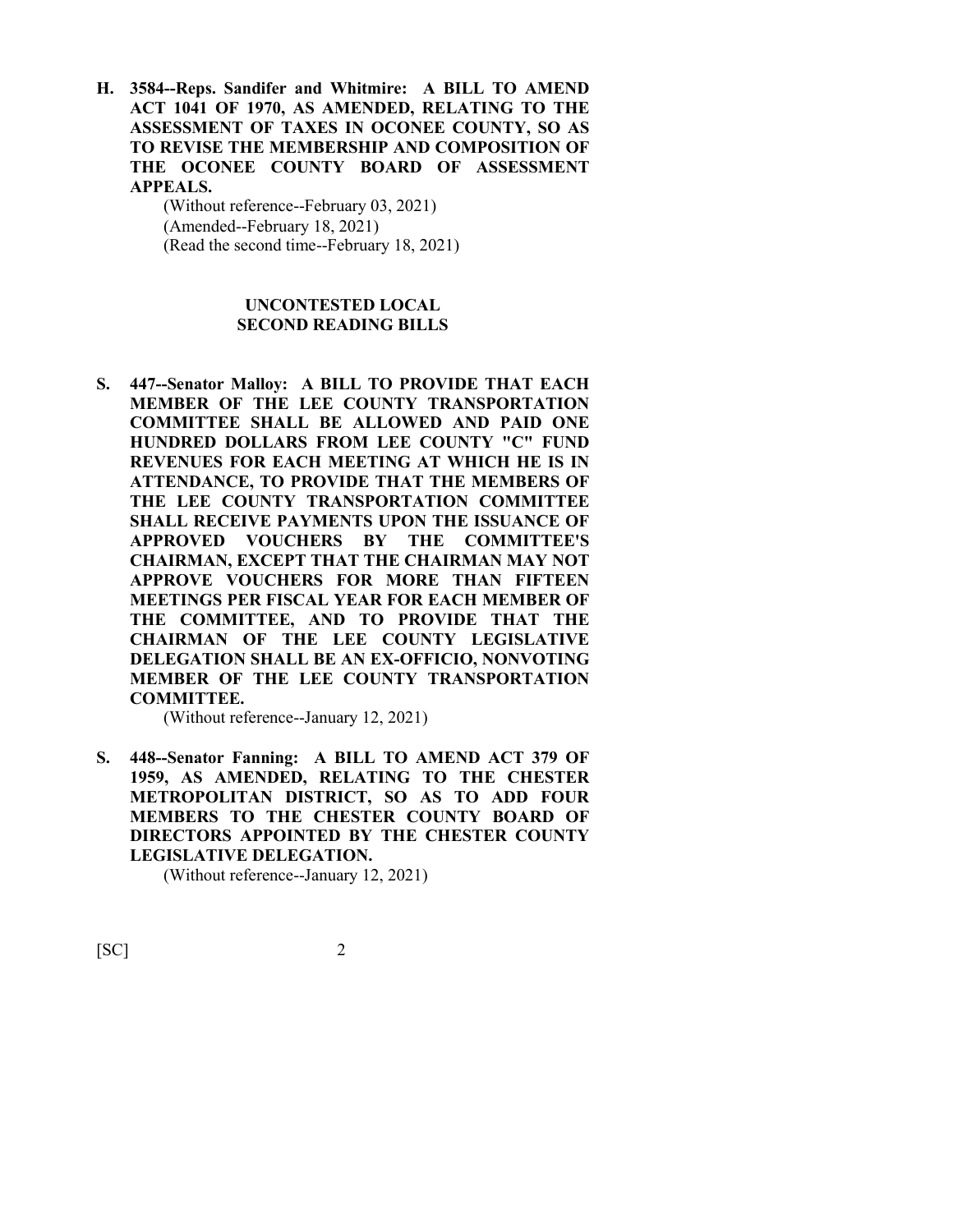**H. 3584--Reps. Sandifer and Whitmire: A BILL TO AMEND ACT 1041 OF 1970, AS AMENDED, RELATING TO THE ASSESSMENT OF TAXES IN OCONEE COUNTY, SO AS TO REVISE THE MEMBERSHIP AND COMPOSITION OF THE OCONEE COUNTY BOARD OF ASSESSMENT APPEALS.**

> (Without reference--February 03, 2021) (Amended--February 18, 2021) (Read the second time--February 18, 2021)

### **UNCONTESTED LOCAL SECOND READING BILLS**

**S. 447--Senator Malloy: A BILL TO PROVIDE THAT EACH MEMBER OF THE LEE COUNTY TRANSPORTATION COMMITTEE SHALL BE ALLOWED AND PAID ONE HUNDRED DOLLARS FROM LEE COUNTY "C" FUND REVENUES FOR EACH MEETING AT WHICH HE IS IN ATTENDANCE, TO PROVIDE THAT THE MEMBERS OF THE LEE COUNTY TRANSPORTATION COMMITTEE SHALL RECEIVE PAYMENTS UPON THE ISSUANCE OF APPROVED VOUCHERS BY THE COMMITTEE'S CHAIRMAN, EXCEPT THAT THE CHAIRMAN MAY NOT APPROVE VOUCHERS FOR MORE THAN FIFTEEN MEETINGS PER FISCAL YEAR FOR EACH MEMBER OF THE COMMITTEE, AND TO PROVIDE THAT THE CHAIRMAN OF THE LEE COUNTY LEGISLATIVE DELEGATION SHALL BE AN EX-OFFICIO, NONVOTING MEMBER OF THE LEE COUNTY TRANSPORTATION COMMITTEE.**

(Without reference--January 12, 2021)

**S. 448--Senator Fanning: A BILL TO AMEND ACT 379 OF 1959, AS AMENDED, RELATING TO THE CHESTER METROPOLITAN DISTRICT, SO AS TO ADD FOUR MEMBERS TO THE CHESTER COUNTY BOARD OF DIRECTORS APPOINTED BY THE CHESTER COUNTY LEGISLATIVE DELEGATION.**

(Without reference--January 12, 2021)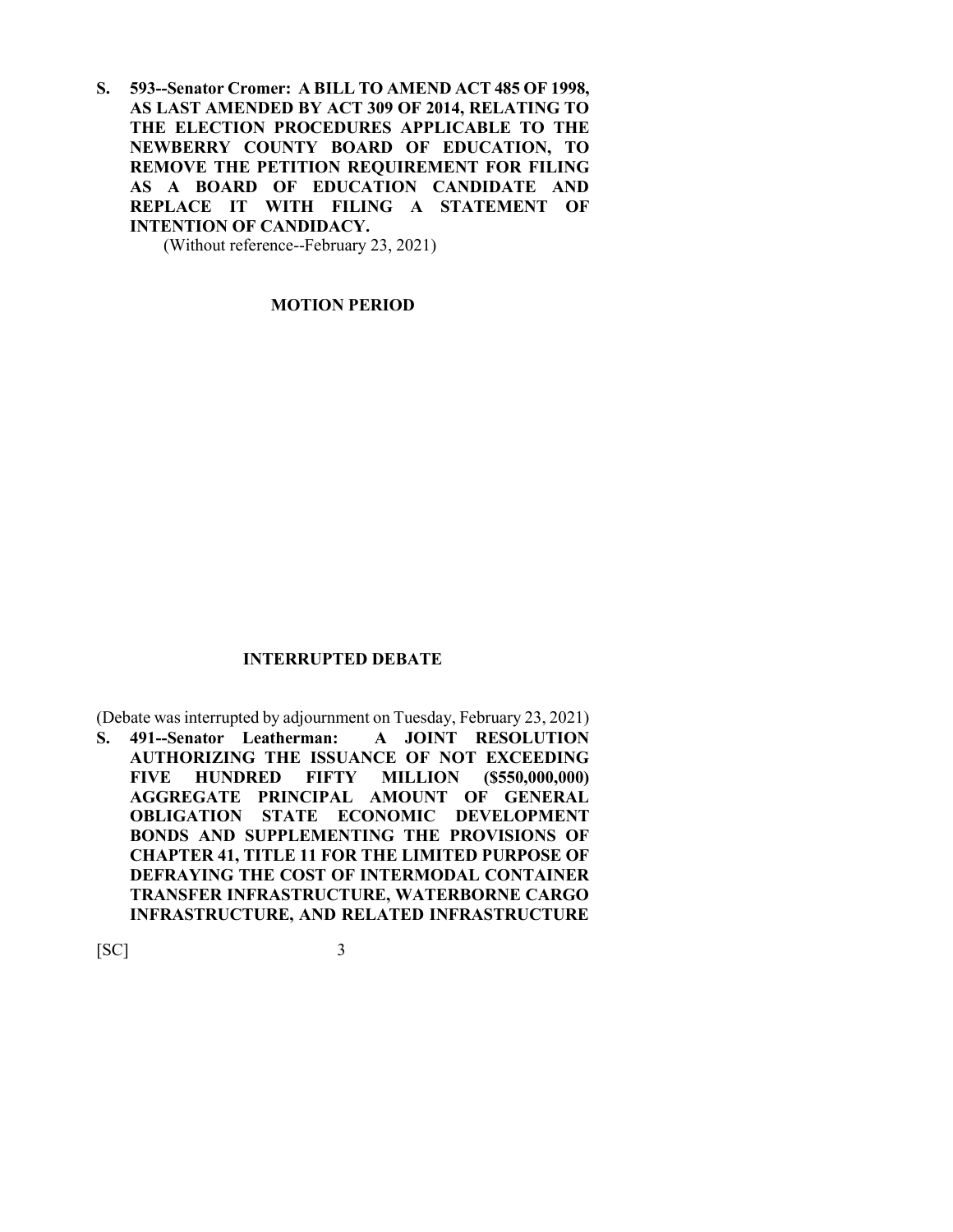**S. 593--Senator Cromer: A BILL TO AMEND ACT 485 OF 1998, AS LAST AMENDED BY ACT 309 OF 2014, RELATING TO THE ELECTION PROCEDURES APPLICABLE TO THE NEWBERRY COUNTY BOARD OF EDUCATION, TO REMOVE THE PETITION REQUIREMENT FOR FILING AS A BOARD OF EDUCATION CANDIDATE AND REPLACE IT WITH FILING A STATEMENT OF INTENTION OF CANDIDACY.**

(Without reference--February 23, 2021)

**MOTION PERIOD**

#### **INTERRUPTED DEBATE**

(Debate was interrupted by adjournment on Tuesday, February 23, 2021)

**S. 491--Senator Leatherman: A JOINT RESOLUTION AUTHORIZING THE ISSUANCE OF NOT EXCEEDING FIVE HUNDRED FIFTY MILLION (\$550,000,000) AGGREGATE PRINCIPAL AMOUNT OF GENERAL OBLIGATION STATE ECONOMIC DEVELOPMENT BONDS AND SUPPLEMENTING THE PROVISIONS OF CHAPTER 41, TITLE 11 FOR THE LIMITED PURPOSE OF DEFRAYING THE COST OF INTERMODAL CONTAINER TRANSFER INFRASTRUCTURE, WATERBORNE CARGO INFRASTRUCTURE, AND RELATED INFRASTRUCTURE**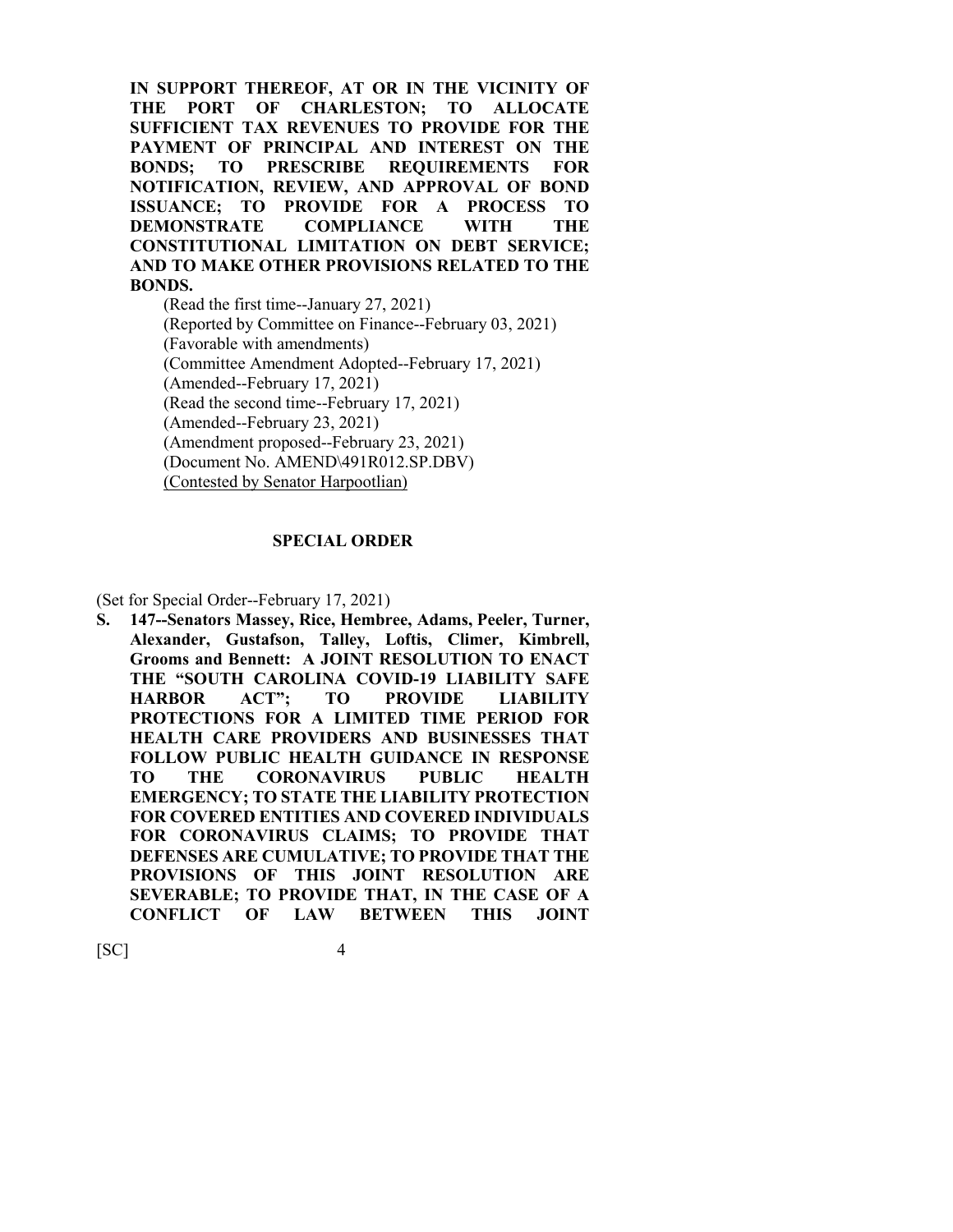**IN SUPPORT THEREOF, AT OR IN THE VICINITY OF THE PORT OF CHARLESTON; TO ALLOCATE SUFFICIENT TAX REVENUES TO PROVIDE FOR THE PAYMENT OF PRINCIPAL AND INTEREST ON THE BONDS; TO PRESCRIBE REQUIREMENTS FOR NOTIFICATION, REVIEW, AND APPROVAL OF BOND ISSUANCE; TO PROVIDE FOR A PROCESS TO DEMONSTRATE COMPLIANCE WITH THE CONSTITUTIONAL LIMITATION ON DEBT SERVICE; AND TO MAKE OTHER PROVISIONS RELATED TO THE BONDS.**

(Read the first time--January 27, 2021) (Reported by Committee on Finance--February 03, 2021) (Favorable with amendments) (Committee Amendment Adopted--February 17, 2021) (Amended--February 17, 2021) (Read the second time--February 17, 2021) (Amended--February 23, 2021) (Amendment proposed--February 23, 2021) (Document No. AMEND\491R012.SP.DBV) (Contested by Senator Harpootlian)

#### **SPECIAL ORDER**

(Set for Special Order--February 17, 2021)

**S. 147--Senators Massey, Rice, Hembree, Adams, Peeler, Turner, Alexander, Gustafson, Talley, Loftis, Climer, Kimbrell, Grooms and Bennett: A JOINT RESOLUTION TO ENACT THE "SOUTH CAROLINA COVID-19 LIABILITY SAFE HARBOR ACT"; TO PROVIDE LIABILITY PROTECTIONS FOR A LIMITED TIME PERIOD FOR HEALTH CARE PROVIDERS AND BUSINESSES THAT FOLLOW PUBLIC HEALTH GUIDANCE IN RESPONSE TO THE CORONAVIRUS PUBLIC HEALTH EMERGENCY; TO STATE THE LIABILITY PROTECTION FOR COVERED ENTITIES AND COVERED INDIVIDUALS FOR CORONAVIRUS CLAIMS; TO PROVIDE THAT DEFENSES ARE CUMULATIVE; TO PROVIDE THAT THE PROVISIONS OF THIS JOINT RESOLUTION ARE SEVERABLE; TO PROVIDE THAT, IN THE CASE OF A CONFLICT OF LAW BETWEEN THIS JOINT**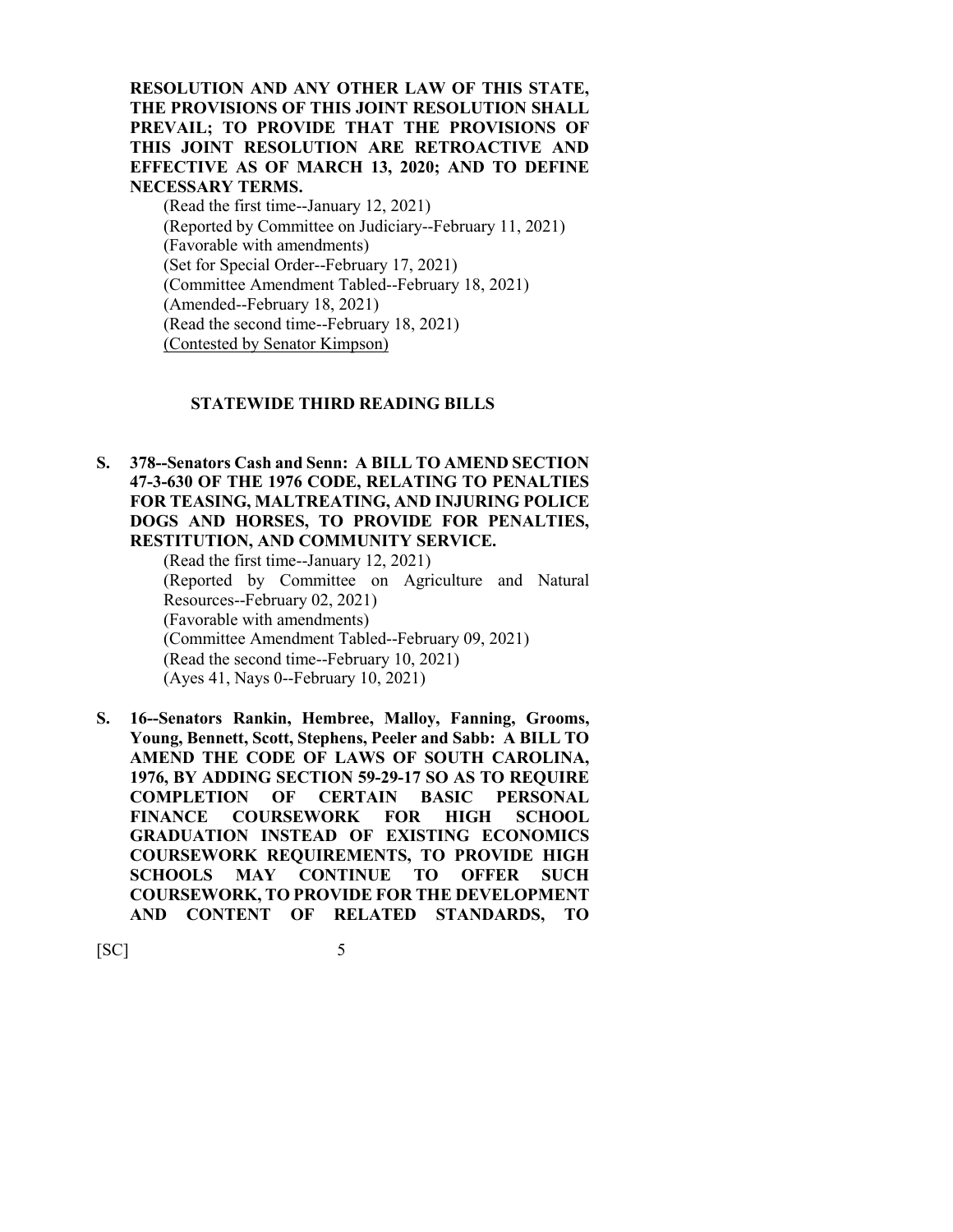**RESOLUTION AND ANY OTHER LAW OF THIS STATE, THE PROVISIONS OF THIS JOINT RESOLUTION SHALL PREVAIL; TO PROVIDE THAT THE PROVISIONS OF THIS JOINT RESOLUTION ARE RETROACTIVE AND EFFECTIVE AS OF MARCH 13, 2020; AND TO DEFINE NECESSARY TERMS.**

(Read the first time--January 12, 2021) (Reported by Committee on Judiciary--February 11, 2021) (Favorable with amendments) (Set for Special Order--February 17, 2021) (Committee Amendment Tabled--February 18, 2021) (Amended--February 18, 2021) (Read the second time--February 18, 2021) (Contested by Senator Kimpson)

#### **STATEWIDE THIRD READING BILLS**

**S. 378--Senators Cash and Senn: A BILL TO AMEND SECTION 47-3-630 OF THE 1976 CODE, RELATING TO PENALTIES FOR TEASING, MALTREATING, AND INJURING POLICE DOGS AND HORSES, TO PROVIDE FOR PENALTIES, RESTITUTION, AND COMMUNITY SERVICE.**

(Read the first time--January 12, 2021) (Reported by Committee on Agriculture and Natural Resources--February 02, 2021) (Favorable with amendments) (Committee Amendment Tabled--February 09, 2021) (Read the second time--February 10, 2021) (Ayes 41, Nays 0--February 10, 2021)

**S. 16--Senators Rankin, Hembree, Malloy, Fanning, Grooms, Young, Bennett, Scott, Stephens, Peeler and Sabb: A BILL TO AMEND THE CODE OF LAWS OF SOUTH CAROLINA, 1976, BY ADDING SECTION 59-29-17 SO AS TO REQUIRE COMPLETION OF CERTAIN BASIC PERSONAL FINANCE COURSEWORK FOR HIGH SCHOOL GRADUATION INSTEAD OF EXISTING ECONOMICS COURSEWORK REQUIREMENTS, TO PROVIDE HIGH SCHOOLS MAY CONTINUE TO OFFER SUCH COURSEWORK, TO PROVIDE FOR THE DEVELOPMENT AND CONTENT OF RELATED STANDARDS, TO**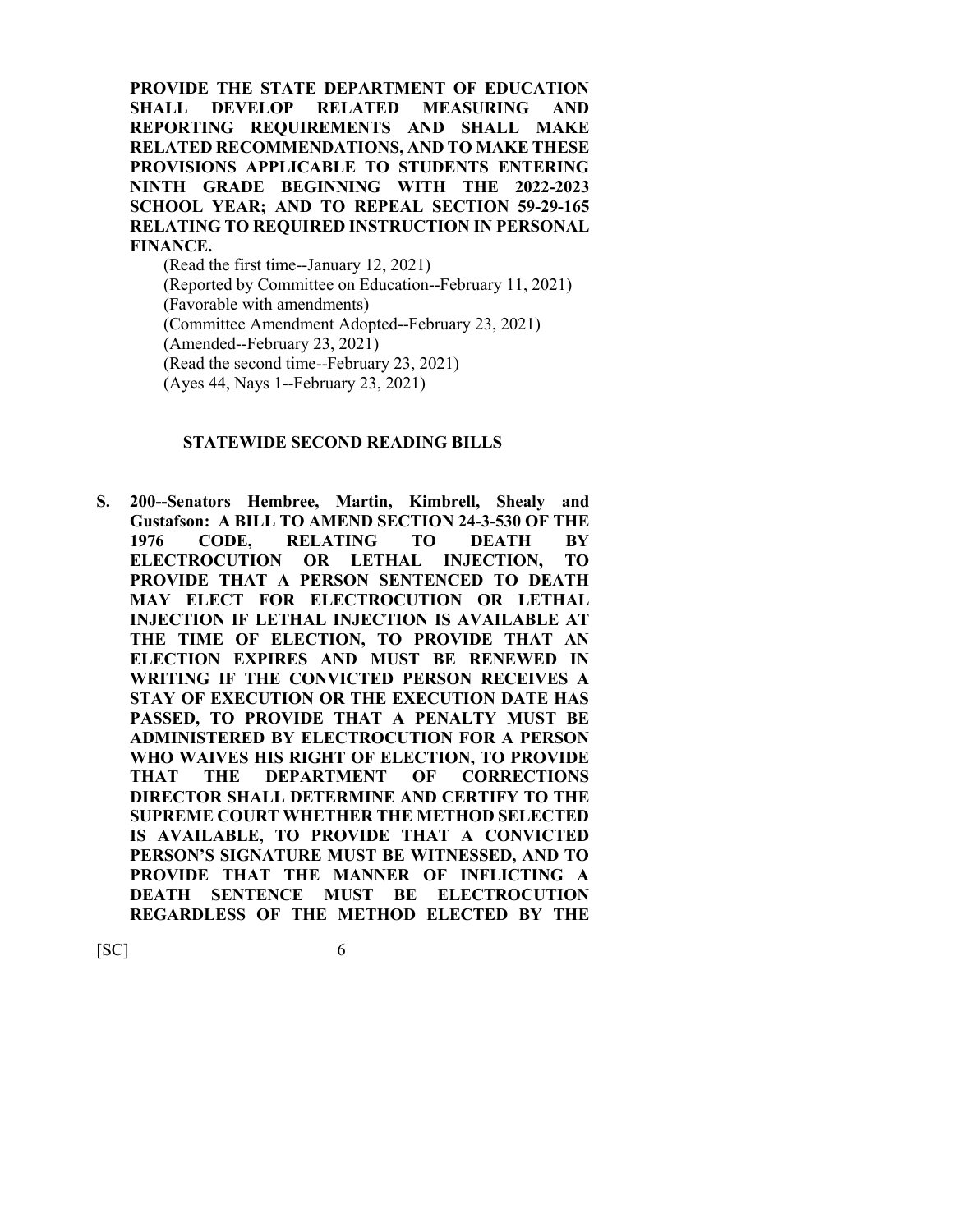**PROVIDE THE STATE DEPARTMENT OF EDUCATION SHALL DEVELOP RELATED MEASURING AND REPORTING REQUIREMENTS AND SHALL MAKE RELATED RECOMMENDATIONS, AND TO MAKE THESE PROVISIONS APPLICABLE TO STUDENTS ENTERING NINTH GRADE BEGINNING WITH THE 2022-2023 SCHOOL YEAR; AND TO REPEAL SECTION 59-29-165 RELATING TO REQUIRED INSTRUCTION IN PERSONAL FINANCE.**

(Read the first time--January 12, 2021) (Reported by Committee on Education--February 11, 2021) (Favorable with amendments) (Committee Amendment Adopted--February 23, 2021) (Amended--February 23, 2021) (Read the second time--February 23, 2021) (Ayes 44, Nays 1--February 23, 2021)

#### **STATEWIDE SECOND READING BILLS**

**S. 200--Senators Hembree, Martin, Kimbrell, Shealy and Gustafson: A BILL TO AMEND SECTION 24-3-530 OF THE 1976 CODE, RELATING TO DEATH BY ELECTROCUTION OR LETHAL INJECTION, TO PROVIDE THAT A PERSON SENTENCED TO DEATH MAY ELECT FOR ELECTROCUTION OR LETHAL INJECTION IF LETHAL INJECTION IS AVAILABLE AT THE TIME OF ELECTION, TO PROVIDE THAT AN ELECTION EXPIRES AND MUST BE RENEWED IN WRITING IF THE CONVICTED PERSON RECEIVES A STAY OF EXECUTION OR THE EXECUTION DATE HAS PASSED, TO PROVIDE THAT A PENALTY MUST BE ADMINISTERED BY ELECTROCUTION FOR A PERSON WHO WAIVES HIS RIGHT OF ELECTION, TO PROVIDE THAT THE DEPARTMENT OF CORRECTIONS DIRECTOR SHALL DETERMINE AND CERTIFY TO THE SUPREME COURT WHETHER THE METHOD SELECTED IS AVAILABLE, TO PROVIDE THAT A CONVICTED PERSON'S SIGNATURE MUST BE WITNESSED, AND TO PROVIDE THAT THE MANNER OF INFLICTING A DEATH SENTENCE MUST BE ELECTROCUTION REGARDLESS OF THE METHOD ELECTED BY THE**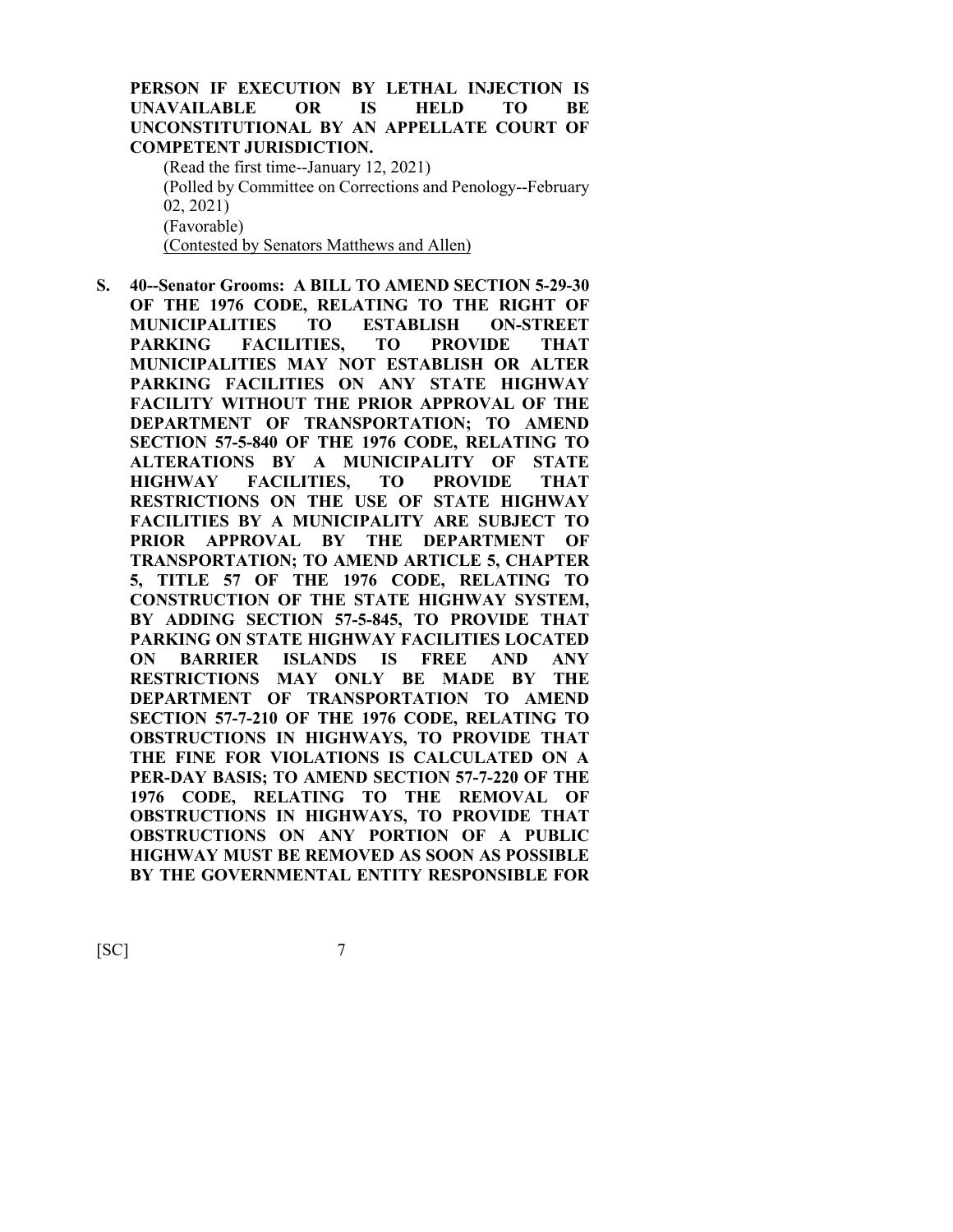## **PERSON IF EXECUTION BY LETHAL INJECTION IS UNAVAILABLE OR IS HELD TO BE UNCONSTITUTIONAL BY AN APPELLATE COURT OF COMPETENT JURISDICTION.**

(Read the first time--January 12, 2021) (Polled by Committee on Corrections and Penology--February 02, 2021) (Favorable) (Contested by Senators Matthews and Allen)

**S. 40--Senator Grooms: A BILL TO AMEND SECTION 5-29-30 OF THE 1976 CODE, RELATING TO THE RIGHT OF MUNICIPALITIES TO ESTABLISH ON-STREET PARKING FACILITIES, TO PROVIDE THAT MUNICIPALITIES MAY NOT ESTABLISH OR ALTER PARKING FACILITIES ON ANY STATE HIGHWAY FACILITY WITHOUT THE PRIOR APPROVAL OF THE DEPARTMENT OF TRANSPORTATION; TO AMEND SECTION 57-5-840 OF THE 1976 CODE, RELATING TO ALTERATIONS BY A MUNICIPALITY OF STATE HIGHWAY FACILITIES, TO PROVIDE THAT RESTRICTIONS ON THE USE OF STATE HIGHWAY FACILITIES BY A MUNICIPALITY ARE SUBJECT TO PRIOR APPROVAL BY THE DEPARTMENT OF TRANSPORTATION; TO AMEND ARTICLE 5, CHAPTER 5, TITLE 57 OF THE 1976 CODE, RELATING TO CONSTRUCTION OF THE STATE HIGHWAY SYSTEM, BY ADDING SECTION 57-5-845, TO PROVIDE THAT PARKING ON STATE HIGHWAY FACILITIES LOCATED ON BARRIER ISLANDS IS FREE AND ANY RESTRICTIONS MAY ONLY BE MADE BY THE DEPARTMENT OF TRANSPORTATION TO AMEND SECTION 57-7-210 OF THE 1976 CODE, RELATING TO OBSTRUCTIONS IN HIGHWAYS, TO PROVIDE THAT THE FINE FOR VIOLATIONS IS CALCULATED ON A PER-DAY BASIS; TO AMEND SECTION 57-7-220 OF THE 1976 CODE, RELATING TO THE REMOVAL OF OBSTRUCTIONS IN HIGHWAYS, TO PROVIDE THAT OBSTRUCTIONS ON ANY PORTION OF A PUBLIC HIGHWAY MUST BE REMOVED AS SOON AS POSSIBLE BY THE GOVERNMENTAL ENTITY RESPONSIBLE FOR**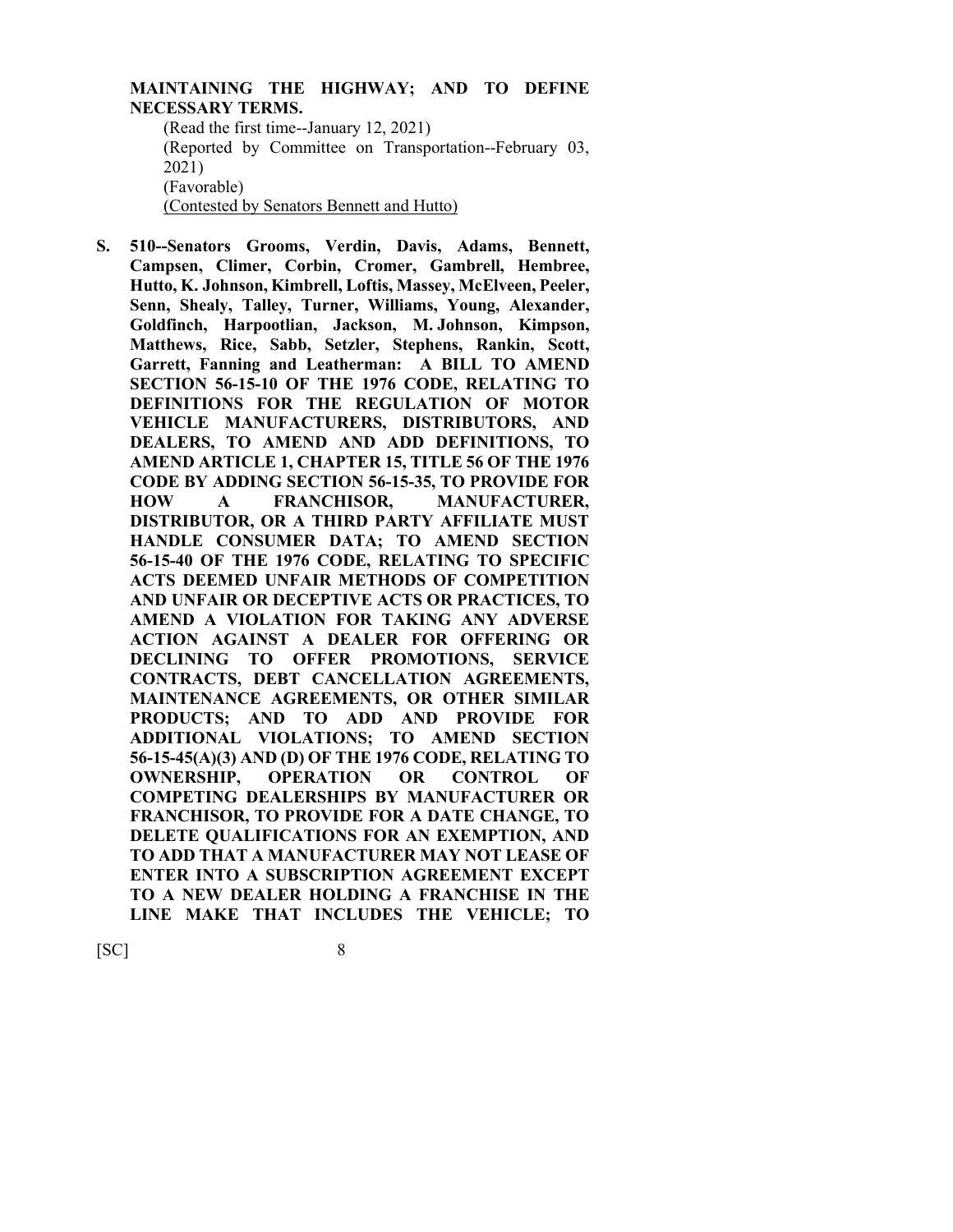## **MAINTAINING THE HIGHWAY; AND TO DEFINE NECESSARY TERMS.**

(Read the first time--January 12, 2021) (Reported by Committee on Transportation--February 03, 2021) (Favorable) (Contested by Senators Bennett and Hutto)

**S. 510--Senators Grooms, Verdin, Davis, Adams, Bennett, Campsen, Climer, Corbin, Cromer, Gambrell, Hembree, Hutto, K. Johnson, Kimbrell, Loftis, Massey, McElveen, Peeler, Senn, Shealy, Talley, Turner, Williams, Young, Alexander, Goldfinch, Harpootlian, Jackson, M. Johnson, Kimpson, Matthews, Rice, Sabb, Setzler, Stephens, Rankin, Scott, Garrett, Fanning and Leatherman: A BILL TO AMEND SECTION 56-15-10 OF THE 1976 CODE, RELATING TO DEFINITIONS FOR THE REGULATION OF MOTOR VEHICLE MANUFACTURERS, DISTRIBUTORS, AND DEALERS, TO AMEND AND ADD DEFINITIONS, TO AMEND ARTICLE 1, CHAPTER 15, TITLE 56 OF THE 1976 CODE BY ADDING SECTION 56-15-35, TO PROVIDE FOR HOW A FRANCHISOR, MANUFACTURER, DISTRIBUTOR, OR A THIRD PARTY AFFILIATE MUST HANDLE CONSUMER DATA; TO AMEND SECTION 56-15-40 OF THE 1976 CODE, RELATING TO SPECIFIC ACTS DEEMED UNFAIR METHODS OF COMPETITION AND UNFAIR OR DECEPTIVE ACTS OR PRACTICES, TO AMEND A VIOLATION FOR TAKING ANY ADVERSE ACTION AGAINST A DEALER FOR OFFERING OR DECLINING TO OFFER PROMOTIONS, SERVICE CONTRACTS, DEBT CANCELLATION AGREEMENTS, MAINTENANCE AGREEMENTS, OR OTHER SIMILAR PRODUCTS; AND TO ADD AND PROVIDE FOR ADDITIONAL VIOLATIONS; TO AMEND SECTION 56-15-45(A)(3) AND (D) OF THE 1976 CODE, RELATING TO OWNERSHIP, OPERATION OR CONTROL OF COMPETING DEALERSHIPS BY MANUFACTURER OR FRANCHISOR, TO PROVIDE FOR A DATE CHANGE, TO DELETE QUALIFICATIONS FOR AN EXEMPTION, AND TO ADD THAT A MANUFACTURER MAY NOT LEASE OF ENTER INTO A SUBSCRIPTION AGREEMENT EXCEPT TO A NEW DEALER HOLDING A FRANCHISE IN THE LINE MAKE THAT INCLUDES THE VEHICLE; TO**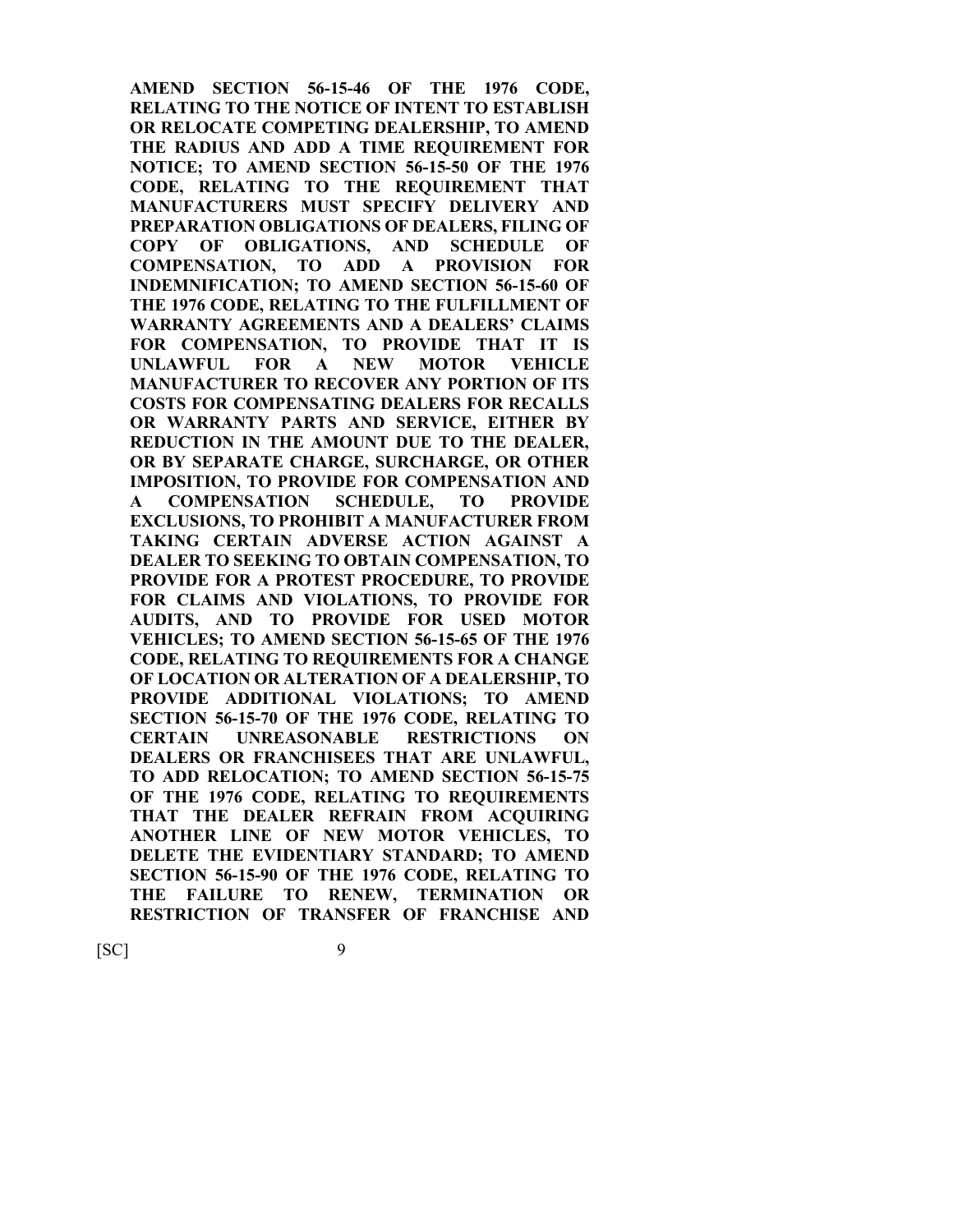**AMEND SECTION 56-15-46 OF THE 1976 CODE, RELATING TO THE NOTICE OF INTENT TO ESTABLISH OR RELOCATE COMPETING DEALERSHIP, TO AMEND THE RADIUS AND ADD A TIME REQUIREMENT FOR NOTICE; TO AMEND SECTION 56-15-50 OF THE 1976 CODE, RELATING TO THE REQUIREMENT THAT MANUFACTURERS MUST SPECIFY DELIVERY AND PREPARATION OBLIGATIONS OF DEALERS, FILING OF COPY OF OBLIGATIONS, AND SCHEDULE OF COMPENSATION, TO ADD A PROVISION FOR INDEMNIFICATION; TO AMEND SECTION 56-15-60 OF THE 1976 CODE, RELATING TO THE FULFILLMENT OF WARRANTY AGREEMENTS AND A DEALERS' CLAIMS FOR COMPENSATION, TO PROVIDE THAT IT IS UNLAWFUL FOR A NEW MOTOR VEHICLE MANUFACTURER TO RECOVER ANY PORTION OF ITS COSTS FOR COMPENSATING DEALERS FOR RECALLS OR WARRANTY PARTS AND SERVICE, EITHER BY REDUCTION IN THE AMOUNT DUE TO THE DEALER, OR BY SEPARATE CHARGE, SURCHARGE, OR OTHER IMPOSITION, TO PROVIDE FOR COMPENSATION AND A COMPENSATION SCHEDULE, TO PROVIDE EXCLUSIONS, TO PROHIBIT A MANUFACTURER FROM TAKING CERTAIN ADVERSE ACTION AGAINST A DEALER TO SEEKING TO OBTAIN COMPENSATION, TO PROVIDE FOR A PROTEST PROCEDURE, TO PROVIDE FOR CLAIMS AND VIOLATIONS, TO PROVIDE FOR AUDITS, AND TO PROVIDE FOR USED MOTOR VEHICLES; TO AMEND SECTION 56-15-65 OF THE 1976 CODE, RELATING TO REQUIREMENTS FOR A CHANGE OF LOCATION OR ALTERATION OF A DEALERSHIP, TO PROVIDE ADDITIONAL VIOLATIONS; TO AMEND SECTION 56-15-70 OF THE 1976 CODE, RELATING TO CERTAIN UNREASONABLE RESTRICTIONS ON DEALERS OR FRANCHISEES THAT ARE UNLAWFUL, TO ADD RELOCATION; TO AMEND SECTION 56-15-75 OF THE 1976 CODE, RELATING TO REQUIREMENTS THAT THE DEALER REFRAIN FROM ACQUIRING ANOTHER LINE OF NEW MOTOR VEHICLES, TO DELETE THE EVIDENTIARY STANDARD; TO AMEND SECTION 56-15-90 OF THE 1976 CODE, RELATING TO THE FAILURE TO RENEW, TERMINATION OR RESTRICTION OF TRANSFER OF FRANCHISE AND**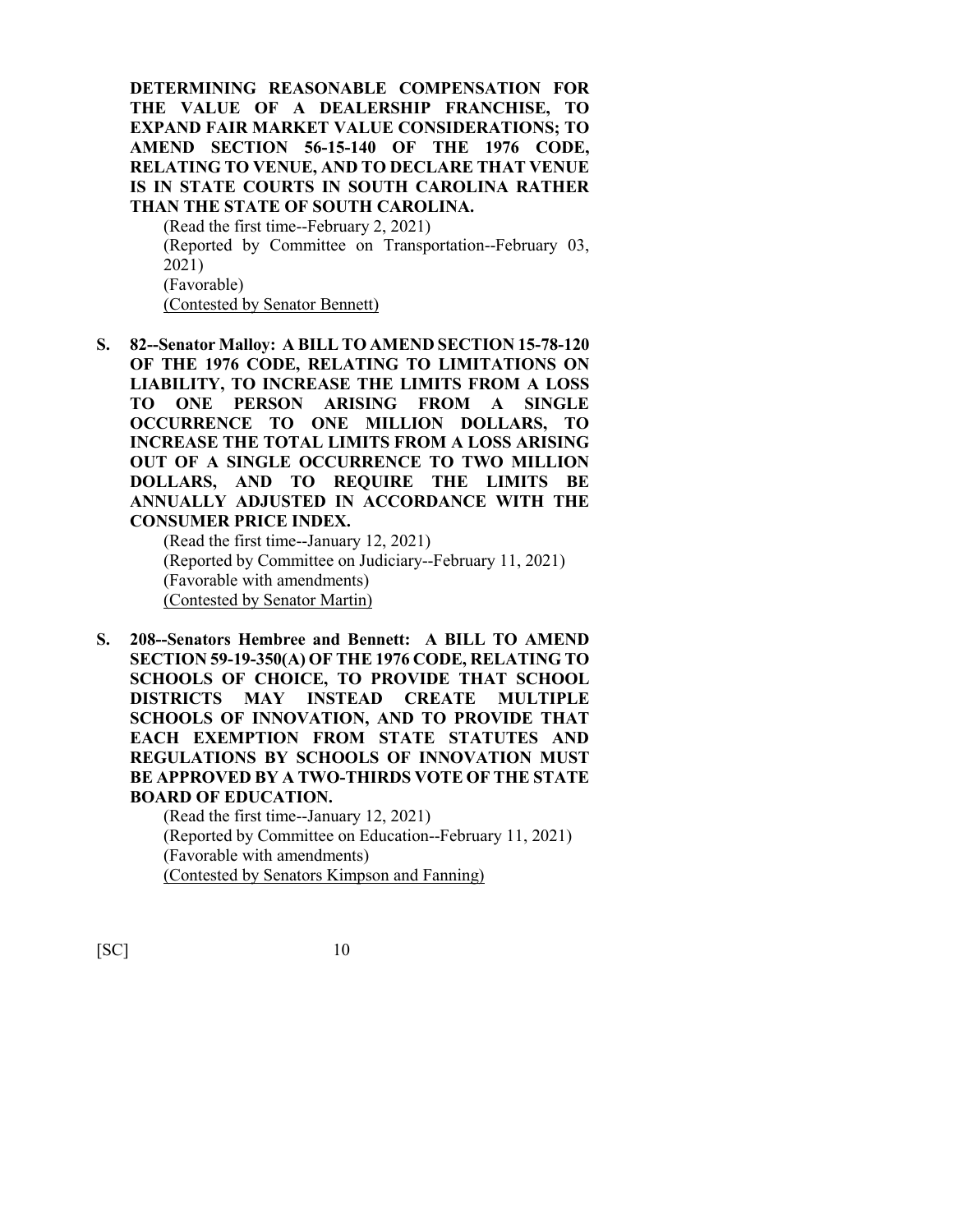**DETERMINING REASONABLE COMPENSATION FOR THE VALUE OF A DEALERSHIP FRANCHISE, TO EXPAND FAIR MARKET VALUE CONSIDERATIONS; TO AMEND SECTION 56-15-140 OF THE 1976 CODE, RELATING TO VENUE, AND TO DECLARE THAT VENUE IS IN STATE COURTS IN SOUTH CAROLINA RATHER THAN THE STATE OF SOUTH CAROLINA.**

(Read the first time--February 2, 2021) (Reported by Committee on Transportation--February 03, 2021) (Favorable) (Contested by Senator Bennett)

**S. 82--Senator Malloy: A BILL TO AMEND SECTION 15-78-120 OF THE 1976 CODE, RELATING TO LIMITATIONS ON LIABILITY, TO INCREASE THE LIMITS FROM A LOSS TO ONE PERSON ARISING FROM A SINGLE OCCURRENCE TO ONE MILLION DOLLARS, TO INCREASE THE TOTAL LIMITS FROM A LOSS ARISING OUT OF A SINGLE OCCURRENCE TO TWO MILLION DOLLARS, AND TO REQUIRE THE LIMITS BE ANNUALLY ADJUSTED IN ACCORDANCE WITH THE CONSUMER PRICE INDEX.**

(Read the first time--January 12, 2021) (Reported by Committee on Judiciary--February 11, 2021) (Favorable with amendments) (Contested by Senator Martin)

**S. 208--Senators Hembree and Bennett: A BILL TO AMEND SECTION 59-19-350(A) OF THE 1976 CODE, RELATING TO SCHOOLS OF CHOICE, TO PROVIDE THAT SCHOOL DISTRICTS MAY INSTEAD CREATE MULTIPLE SCHOOLS OF INNOVATION, AND TO PROVIDE THAT EACH EXEMPTION FROM STATE STATUTES AND REGULATIONS BY SCHOOLS OF INNOVATION MUST BE APPROVED BY A TWO-THIRDS VOTE OF THE STATE BOARD OF EDUCATION.**

> (Read the first time--January 12, 2021) (Reported by Committee on Education--February 11, 2021) (Favorable with amendments) (Contested by Senators Kimpson and Fanning)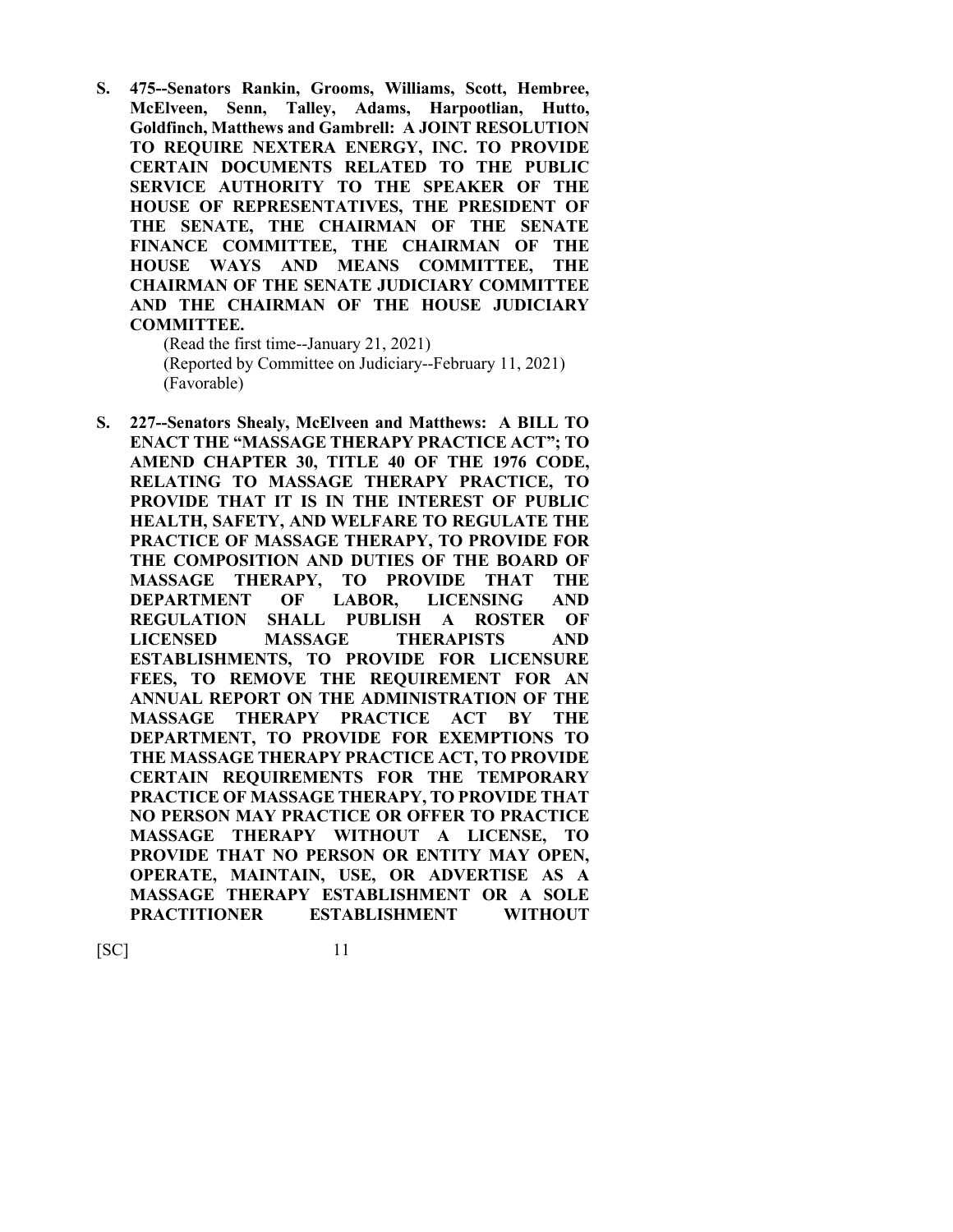**S. 475--Senators Rankin, Grooms, Williams, Scott, Hembree, McElveen, Senn, Talley, Adams, Harpootlian, Hutto, Goldfinch, Matthews and Gambrell: A JOINT RESOLUTION TO REQUIRE NEXTERA ENERGY, INC. TO PROVIDE CERTAIN DOCUMENTS RELATED TO THE PUBLIC SERVICE AUTHORITY TO THE SPEAKER OF THE HOUSE OF REPRESENTATIVES, THE PRESIDENT OF THE SENATE, THE CHAIRMAN OF THE SENATE FINANCE COMMITTEE, THE CHAIRMAN OF THE HOUSE WAYS AND MEANS COMMITTEE, THE CHAIRMAN OF THE SENATE JUDICIARY COMMITTEE AND THE CHAIRMAN OF THE HOUSE JUDICIARY COMMITTEE.**

(Read the first time--January 21, 2021) (Reported by Committee on Judiciary--February 11, 2021) (Favorable)

**S. 227--Senators Shealy, McElveen and Matthews: A BILL TO ENACT THE "MASSAGE THERAPY PRACTICE ACT"; TO AMEND CHAPTER 30, TITLE 40 OF THE 1976 CODE, RELATING TO MASSAGE THERAPY PRACTICE, TO PROVIDE THAT IT IS IN THE INTEREST OF PUBLIC HEALTH, SAFETY, AND WELFARE TO REGULATE THE PRACTICE OF MASSAGE THERAPY, TO PROVIDE FOR THE COMPOSITION AND DUTIES OF THE BOARD OF MASSAGE THERAPY, TO PROVIDE THAT THE DEPARTMENT OF LABOR, LICENSING AND REGULATION SHALL PUBLISH A ROSTER OF LICENSED MASSAGE THERAPISTS AND ESTABLISHMENTS, TO PROVIDE FOR LICENSURE FEES, TO REMOVE THE REQUIREMENT FOR AN ANNUAL REPORT ON THE ADMINISTRATION OF THE MASSAGE THERAPY PRACTICE ACT BY THE DEPARTMENT, TO PROVIDE FOR EXEMPTIONS TO THE MASSAGE THERAPY PRACTICE ACT, TO PROVIDE CERTAIN REQUIREMENTS FOR THE TEMPORARY PRACTICE OF MASSAGE THERAPY, TO PROVIDE THAT NO PERSON MAY PRACTICE OR OFFER TO PRACTICE MASSAGE THERAPY WITHOUT A LICENSE, TO PROVIDE THAT NO PERSON OR ENTITY MAY OPEN, OPERATE, MAINTAIN, USE, OR ADVERTISE AS A MASSAGE THERAPY ESTABLISHMENT OR A SOLE PRACTITIONER ESTABLISHMENT WITHOUT**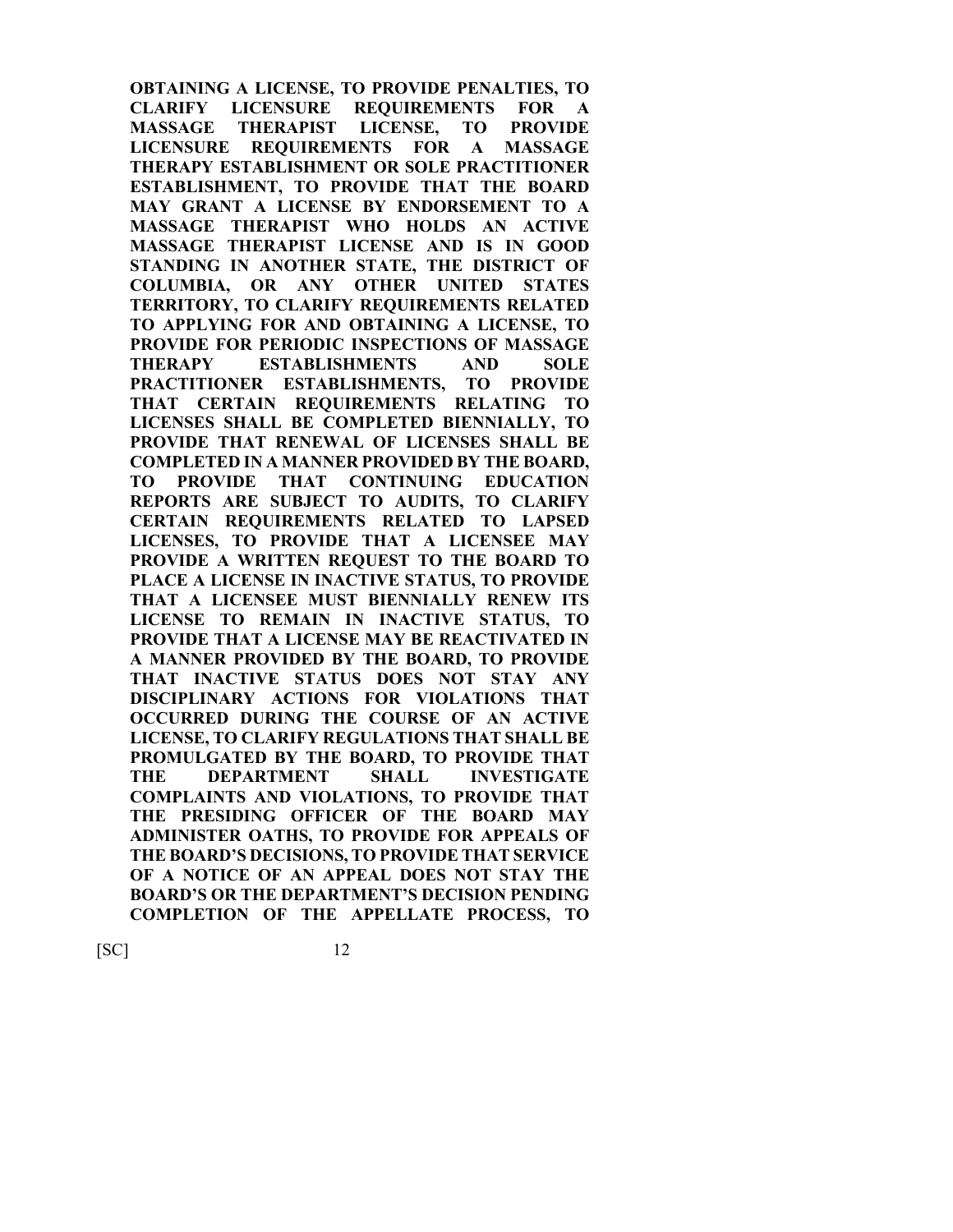**OBTAINING A LICENSE, TO PROVIDE PENALTIES, TO CLARIFY LICENSURE REQUIREMENTS FOR A MASSAGE THERAPIST LICENSE, TO PROVIDE LICENSURE REQUIREMENTS FOR A MASSAGE THERAPY ESTABLISHMENT OR SOLE PRACTITIONER ESTABLISHMENT, TO PROVIDE THAT THE BOARD MAY GRANT A LICENSE BY ENDORSEMENT TO A MASSAGE THERAPIST WHO HOLDS AN ACTIVE MASSAGE THERAPIST LICENSE AND IS IN GOOD STANDING IN ANOTHER STATE, THE DISTRICT OF COLUMBIA, OR ANY OTHER UNITED STATES TERRITORY, TO CLARIFY REQUIREMENTS RELATED TO APPLYING FOR AND OBTAINING A LICENSE, TO PROVIDE FOR PERIODIC INSPECTIONS OF MASSAGE THERAPY ESTABLISHMENTS AND SOLE PRACTITIONER ESTABLISHMENTS, TO PROVIDE THAT CERTAIN REQUIREMENTS RELATING TO LICENSES SHALL BE COMPLETED BIENNIALLY, TO PROVIDE THAT RENEWAL OF LICENSES SHALL BE COMPLETED IN A MANNER PROVIDED BY THE BOARD, TO PROVIDE THAT CONTINUING EDUCATION REPORTS ARE SUBJECT TO AUDITS, TO CLARIFY CERTAIN REQUIREMENTS RELATED TO LAPSED LICENSES, TO PROVIDE THAT A LICENSEE MAY PROVIDE A WRITTEN REQUEST TO THE BOARD TO PLACE A LICENSE IN INACTIVE STATUS, TO PROVIDE THAT A LICENSEE MUST BIENNIALLY RENEW ITS LICENSE TO REMAIN IN INACTIVE STATUS, TO PROVIDE THAT A LICENSE MAY BE REACTIVATED IN A MANNER PROVIDED BY THE BOARD, TO PROVIDE THAT INACTIVE STATUS DOES NOT STAY ANY DISCIPLINARY ACTIONS FOR VIOLATIONS THAT OCCURRED DURING THE COURSE OF AN ACTIVE LICENSE, TO CLARIFY REGULATIONS THAT SHALL BE PROMULGATED BY THE BOARD, TO PROVIDE THAT THE DEPARTMENT SHALL INVESTIGATE COMPLAINTS AND VIOLATIONS, TO PROVIDE THAT THE PRESIDING OFFICER OF THE BOARD MAY ADMINISTER OATHS, TO PROVIDE FOR APPEALS OF THE BOARD'S DECISIONS, TO PROVIDE THAT SERVICE OF A NOTICE OF AN APPEAL DOES NOT STAY THE BOARD'S OR THE DEPARTMENT'S DECISION PENDING COMPLETION OF THE APPELLATE PROCESS, TO**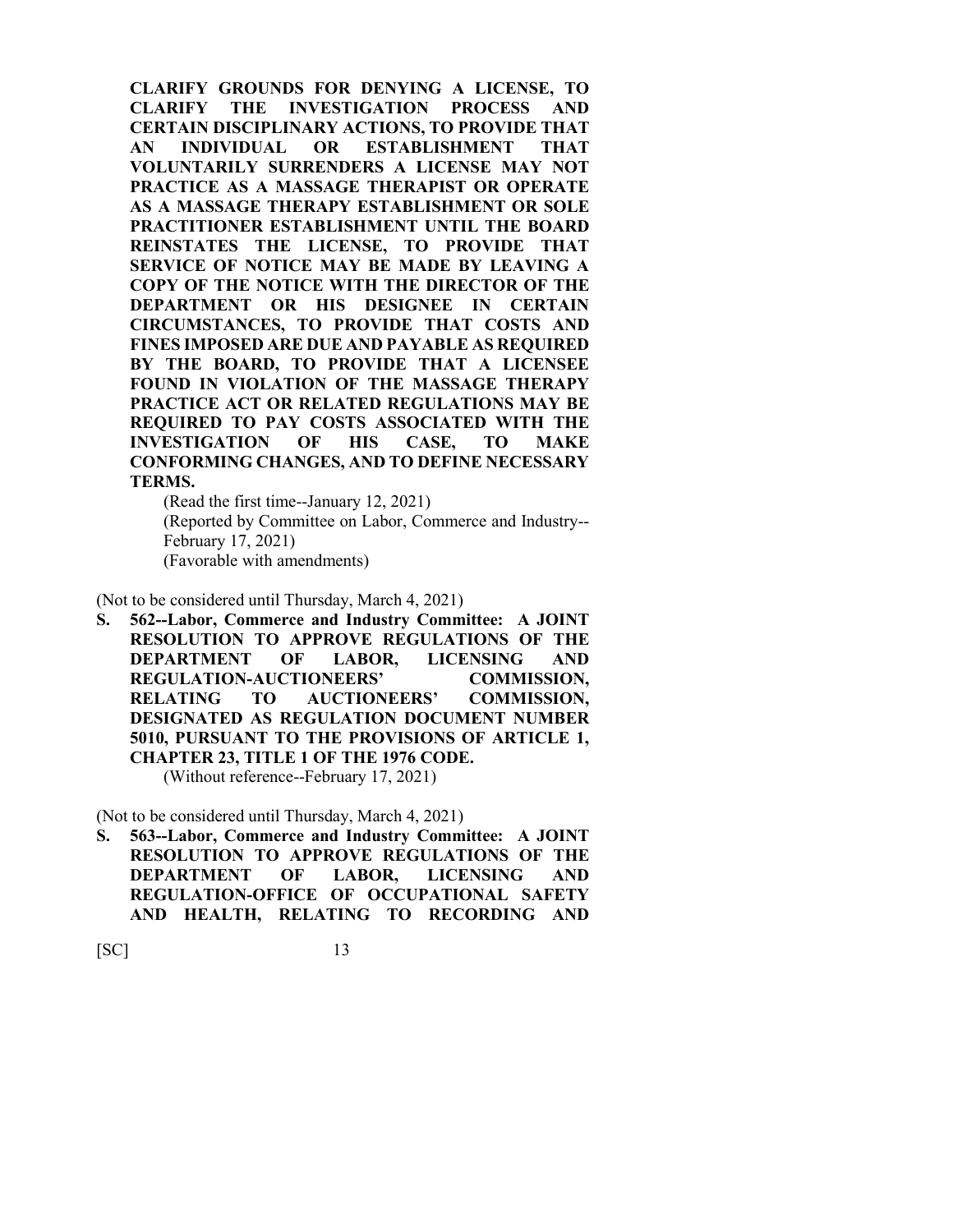**CLARIFY GROUNDS FOR DENYING A LICENSE, TO CLARIFY THE INVESTIGATION PROCESS AND CERTAIN DISCIPLINARY ACTIONS, TO PROVIDE THAT AN INDIVIDUAL OR ESTABLISHMENT THAT VOLUNTARILY SURRENDERS A LICENSE MAY NOT PRACTICE AS A MASSAGE THERAPIST OR OPERATE AS A MASSAGE THERAPY ESTABLISHMENT OR SOLE PRACTITIONER ESTABLISHMENT UNTIL THE BOARD REINSTATES THE LICENSE, TO PROVIDE THAT SERVICE OF NOTICE MAY BE MADE BY LEAVING A COPY OF THE NOTICE WITH THE DIRECTOR OF THE DEPARTMENT OR HIS DESIGNEE IN CERTAIN CIRCUMSTANCES, TO PROVIDE THAT COSTS AND FINES IMPOSED ARE DUE AND PAYABLE AS REQUIRED BY THE BOARD, TO PROVIDE THAT A LICENSEE FOUND IN VIOLATION OF THE MASSAGE THERAPY PRACTICE ACT OR RELATED REGULATIONS MAY BE REQUIRED TO PAY COSTS ASSOCIATED WITH THE INVESTIGATION OF HIS CASE, TO MAKE CONFORMING CHANGES, AND TO DEFINE NECESSARY TERMS.**

(Read the first time--January 12, 2021) (Reported by Committee on Labor, Commerce and Industry-- February 17, 2021) (Favorable with amendments)

(Not to be considered until Thursday, March 4, 2021)

**S. 562--Labor, Commerce and Industry Committee: A JOINT RESOLUTION TO APPROVE REGULATIONS OF THE DEPARTMENT OF LABOR, LICENSING AND REGULATION-AUCTIONEERS' COMMISSION, RELATING TO AUCTIONEERS' COMMISSION, DESIGNATED AS REGULATION DOCUMENT NUMBER 5010, PURSUANT TO THE PROVISIONS OF ARTICLE 1, CHAPTER 23, TITLE 1 OF THE 1976 CODE.** (Without reference--February 17, 2021)

(Not to be considered until Thursday, March 4, 2021)

**S. 563--Labor, Commerce and Industry Committee: A JOINT RESOLUTION TO APPROVE REGULATIONS OF THE DEPARTMENT OF LABOR, LICENSING AND REGULATION-OFFICE OF OCCUPATIONAL SAFETY AND HEALTH, RELATING TO RECORDING AND**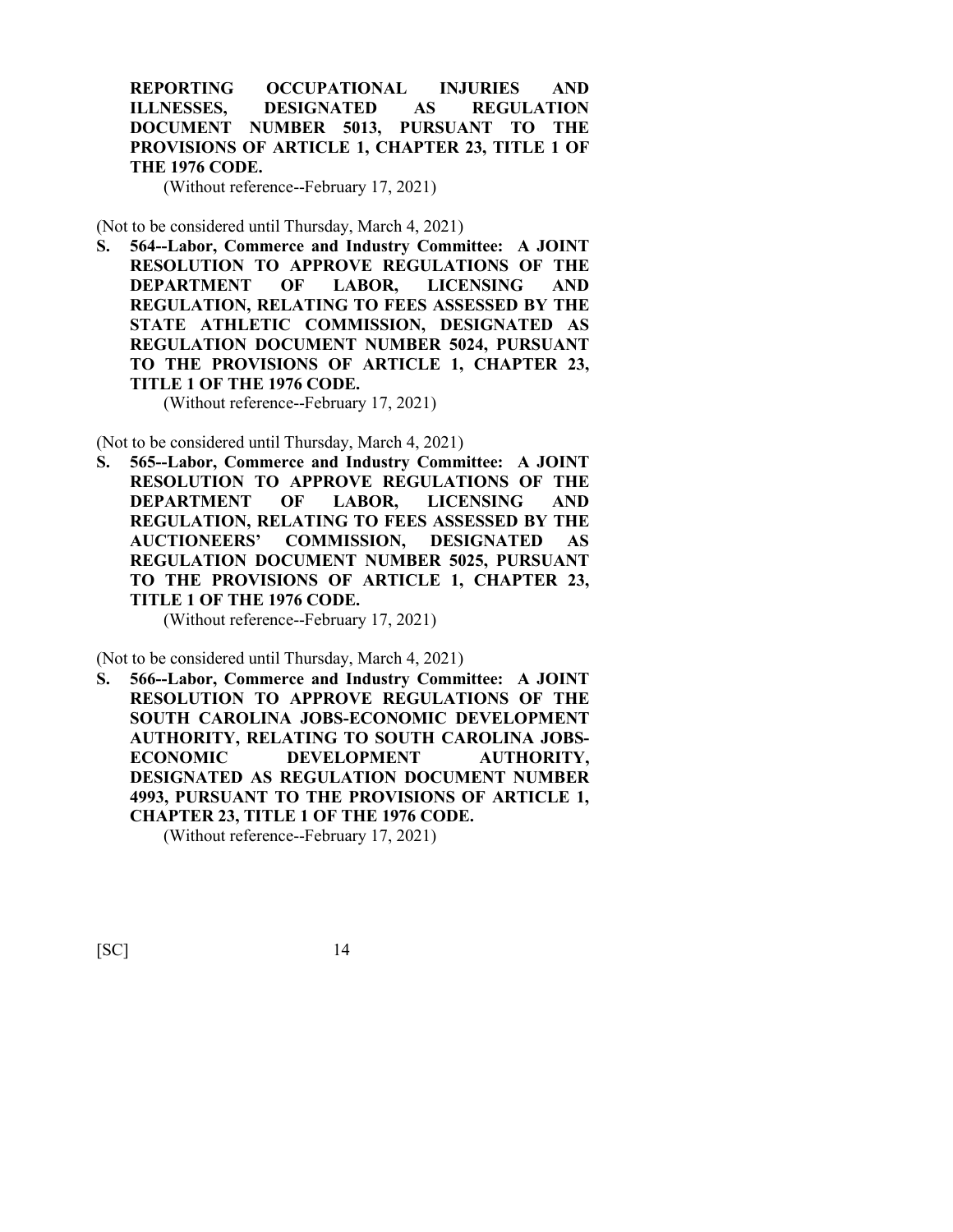**REPORTING OCCUPATIONAL INJURIES AND ILLNESSES, DESIGNATED AS REGULATION DOCUMENT NUMBER 5013, PURSUANT TO THE PROVISIONS OF ARTICLE 1, CHAPTER 23, TITLE 1 OF THE 1976 CODE.**

(Without reference--February 17, 2021)

(Not to be considered until Thursday, March 4, 2021)

**S. 564--Labor, Commerce and Industry Committee: A JOINT RESOLUTION TO APPROVE REGULATIONS OF THE DEPARTMENT OF LABOR, LICENSING AND REGULATION, RELATING TO FEES ASSESSED BY THE STATE ATHLETIC COMMISSION, DESIGNATED AS REGULATION DOCUMENT NUMBER 5024, PURSUANT TO THE PROVISIONS OF ARTICLE 1, CHAPTER 23, TITLE 1 OF THE 1976 CODE.**

(Without reference--February 17, 2021)

(Not to be considered until Thursday, March 4, 2021)

**S. 565--Labor, Commerce and Industry Committee: A JOINT RESOLUTION TO APPROVE REGULATIONS OF THE DEPARTMENT OF LABOR, LICENSING AND REGULATION, RELATING TO FEES ASSESSED BY THE AUCTIONEERS' COMMISSION, DESIGNATED AS REGULATION DOCUMENT NUMBER 5025, PURSUANT TO THE PROVISIONS OF ARTICLE 1, CHAPTER 23, TITLE 1 OF THE 1976 CODE.**

(Without reference--February 17, 2021)

(Not to be considered until Thursday, March 4, 2021)

**S. 566--Labor, Commerce and Industry Committee: A JOINT RESOLUTION TO APPROVE REGULATIONS OF THE SOUTH CAROLINA JOBS-ECONOMIC DEVELOPMENT AUTHORITY, RELATING TO SOUTH CAROLINA JOBS-ECONOMIC DEVELOPMENT AUTHORITY, DESIGNATED AS REGULATION DOCUMENT NUMBER 4993, PURSUANT TO THE PROVISIONS OF ARTICLE 1, CHAPTER 23, TITLE 1 OF THE 1976 CODE.**

(Without reference--February 17, 2021)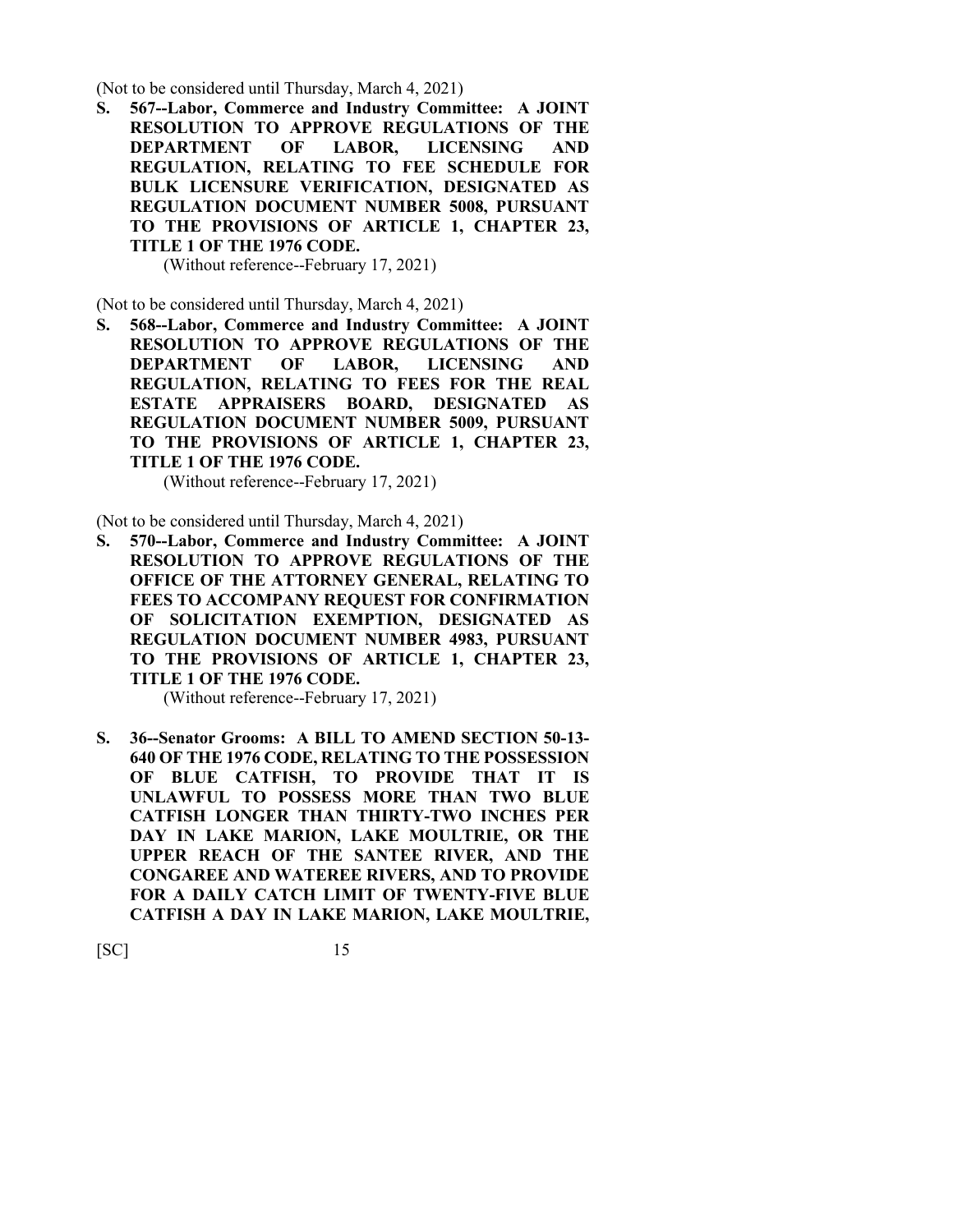(Not to be considered until Thursday, March 4, 2021)

**S. 567--Labor, Commerce and Industry Committee: A JOINT RESOLUTION TO APPROVE REGULATIONS OF THE DEPARTMENT OF LABOR, LICENSING AND REGULATION, RELATING TO FEE SCHEDULE FOR BULK LICENSURE VERIFICATION, DESIGNATED AS REGULATION DOCUMENT NUMBER 5008, PURSUANT TO THE PROVISIONS OF ARTICLE 1, CHAPTER 23, TITLE 1 OF THE 1976 CODE.**

(Without reference--February 17, 2021)

(Not to be considered until Thursday, March 4, 2021)

**S. 568--Labor, Commerce and Industry Committee: A JOINT RESOLUTION TO APPROVE REGULATIONS OF THE DEPARTMENT OF LABOR, LICENSING AND REGULATION, RELATING TO FEES FOR THE REAL ESTATE APPRAISERS BOARD, DESIGNATED AS REGULATION DOCUMENT NUMBER 5009, PURSUANT TO THE PROVISIONS OF ARTICLE 1, CHAPTER 23, TITLE 1 OF THE 1976 CODE.**

(Without reference--February 17, 2021)

(Not to be considered until Thursday, March 4, 2021)

**S. 570--Labor, Commerce and Industry Committee: A JOINT RESOLUTION TO APPROVE REGULATIONS OF THE OFFICE OF THE ATTORNEY GENERAL, RELATING TO FEES TO ACCOMPANY REQUEST FOR CONFIRMATION OF SOLICITATION EXEMPTION, DESIGNATED AS REGULATION DOCUMENT NUMBER 4983, PURSUANT TO THE PROVISIONS OF ARTICLE 1, CHAPTER 23, TITLE 1 OF THE 1976 CODE.**

(Without reference--February 17, 2021)

**S. 36--Senator Grooms: A BILL TO AMEND SECTION 50-13- 640 OF THE 1976 CODE, RELATING TO THE POSSESSION OF BLUE CATFISH, TO PROVIDE THAT IT IS UNLAWFUL TO POSSESS MORE THAN TWO BLUE CATFISH LONGER THAN THIRTY-TWO INCHES PER DAY IN LAKE MARION, LAKE MOULTRIE, OR THE UPPER REACH OF THE SANTEE RIVER, AND THE CONGAREE AND WATEREE RIVERS, AND TO PROVIDE FOR A DAILY CATCH LIMIT OF TWENTY-FIVE BLUE CATFISH A DAY IN LAKE MARION, LAKE MOULTRIE,**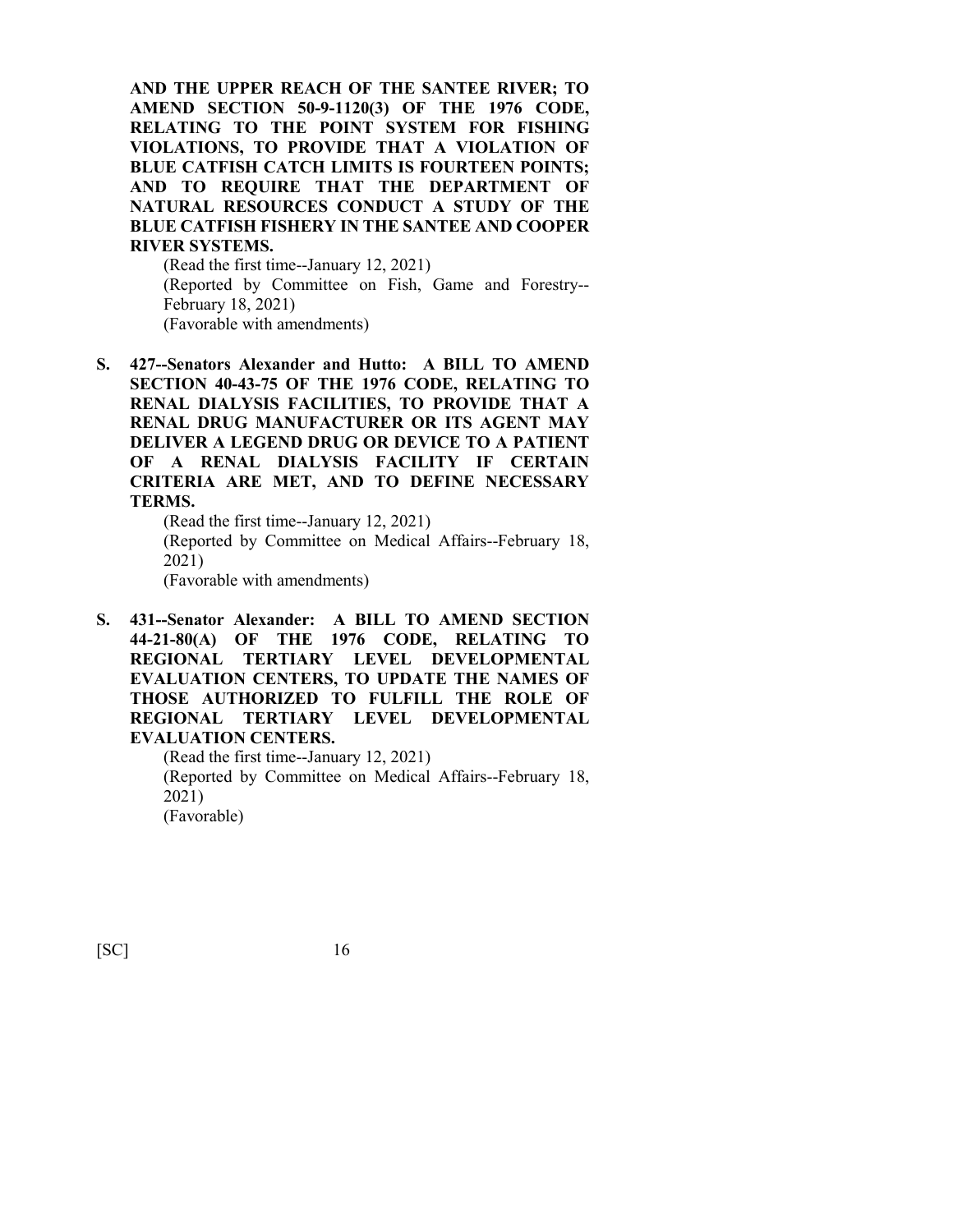**AND THE UPPER REACH OF THE SANTEE RIVER; TO AMEND SECTION 50-9-1120(3) OF THE 1976 CODE, RELATING TO THE POINT SYSTEM FOR FISHING VIOLATIONS, TO PROVIDE THAT A VIOLATION OF BLUE CATFISH CATCH LIMITS IS FOURTEEN POINTS; AND TO REQUIRE THAT THE DEPARTMENT OF NATURAL RESOURCES CONDUCT A STUDY OF THE BLUE CATFISH FISHERY IN THE SANTEE AND COOPER RIVER SYSTEMS.**

(Read the first time--January 12, 2021) (Reported by Committee on Fish, Game and Forestry-- February 18, 2021) (Favorable with amendments)

**S. 427--Senators Alexander and Hutto: A BILL TO AMEND SECTION 40-43-75 OF THE 1976 CODE, RELATING TO RENAL DIALYSIS FACILITIES, TO PROVIDE THAT A RENAL DRUG MANUFACTURER OR ITS AGENT MAY DELIVER A LEGEND DRUG OR DEVICE TO A PATIENT OF A RENAL DIALYSIS FACILITY IF CERTAIN CRITERIA ARE MET, AND TO DEFINE NECESSARY TERMS.**

(Read the first time--January 12, 2021) (Reported by Committee on Medical Affairs--February 18, 2021) (Favorable with amendments)

**S. 431--Senator Alexander: A BILL TO AMEND SECTION 44-21-80(A) OF THE 1976 CODE, RELATING TO REGIONAL TERTIARY LEVEL DEVELOPMENTAL EVALUATION CENTERS, TO UPDATE THE NAMES OF THOSE AUTHORIZED TO FULFILL THE ROLE OF REGIONAL TERTIARY LEVEL DEVELOPMENTAL EVALUATION CENTERS.**

(Read the first time--January 12, 2021) (Reported by Committee on Medical Affairs--February 18, 2021) (Favorable)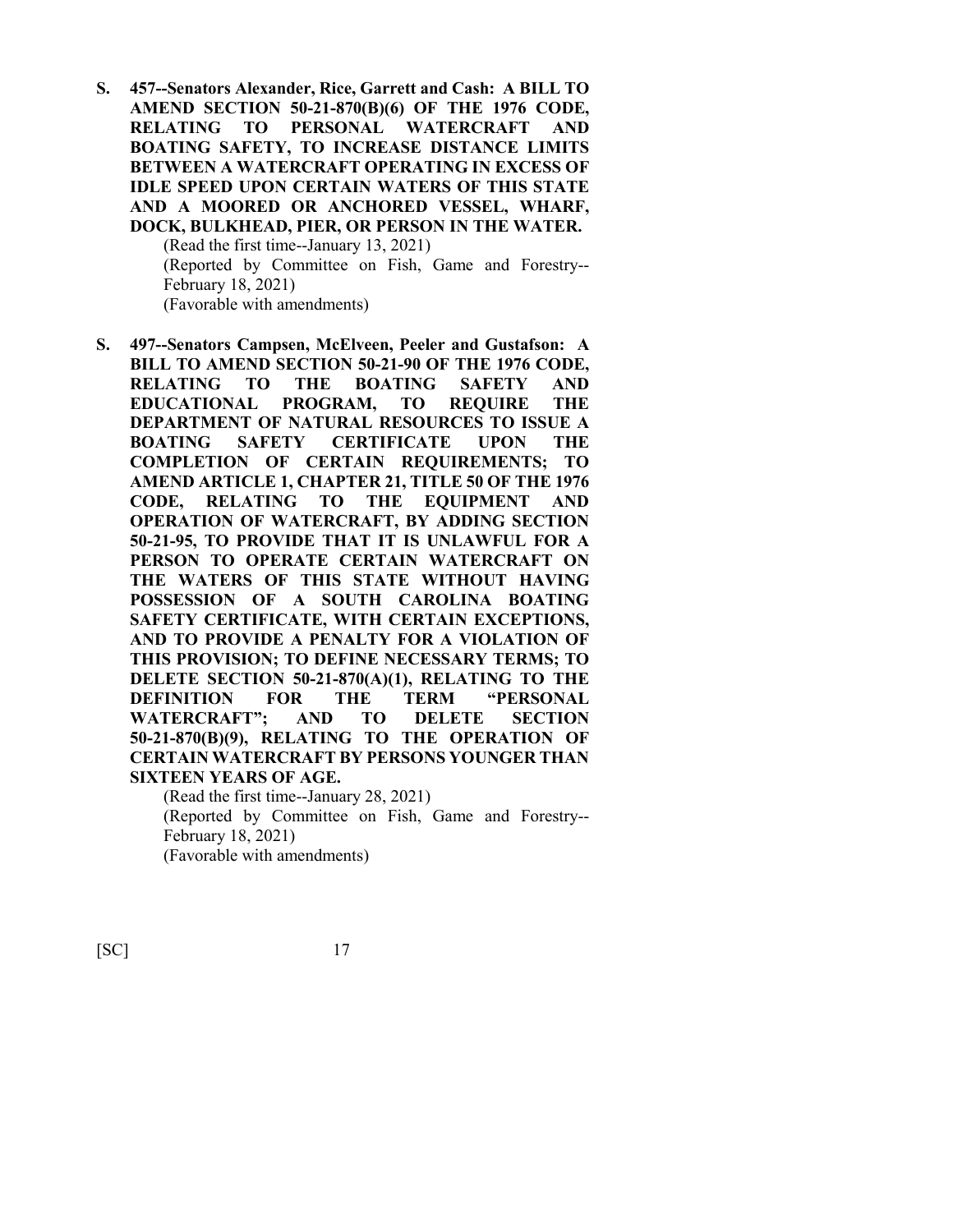**S. 457--Senators Alexander, Rice, Garrett and Cash: A BILL TO AMEND SECTION 50-21-870(B)(6) OF THE 1976 CODE, RELATING TO PERSONAL WATERCRAFT AND BOATING SAFETY, TO INCREASE DISTANCE LIMITS BETWEEN A WATERCRAFT OPERATING IN EXCESS OF IDLE SPEED UPON CERTAIN WATERS OF THIS STATE AND A MOORED OR ANCHORED VESSEL, WHARF, DOCK, BULKHEAD, PIER, OR PERSON IN THE WATER.** (Read the first time--January 13, 2021) (Reported by Committee on Fish, Game and Forestry--

February 18, 2021) (Favorable with amendments)

**S. 497--Senators Campsen, McElveen, Peeler and Gustafson: A BILL TO AMEND SECTION 50-21-90 OF THE 1976 CODE, RELATING TO THE BOATING SAFETY AND EDUCATIONAL PROGRAM, TO REQUIRE THE DEPARTMENT OF NATURAL RESOURCES TO ISSUE A BOATING SAFETY CERTIFICATE UPON THE COMPLETION OF CERTAIN REQUIREMENTS; TO AMEND ARTICLE 1, CHAPTER 21, TITLE 50 OF THE 1976 CODE, RELATING TO THE EQUIPMENT AND OPERATION OF WATERCRAFT, BY ADDING SECTION 50-21-95, TO PROVIDE THAT IT IS UNLAWFUL FOR A PERSON TO OPERATE CERTAIN WATERCRAFT ON THE WATERS OF THIS STATE WITHOUT HAVING POSSESSION OF A SOUTH CAROLINA BOATING SAFETY CERTIFICATE, WITH CERTAIN EXCEPTIONS, AND TO PROVIDE A PENALTY FOR A VIOLATION OF THIS PROVISION; TO DEFINE NECESSARY TERMS; TO DELETE SECTION 50-21-870(A)(1), RELATING TO THE DEFINITION FOR THE TERM "PERSONAL WATERCRAFT"; AND TO DELETE SECTION 50-21-870(B)(9), RELATING TO THE OPERATION OF CERTAIN WATERCRAFT BY PERSONS YOUNGER THAN SIXTEEN YEARS OF AGE.**

(Read the first time--January 28, 2021) (Reported by Committee on Fish, Game and Forestry-- February 18, 2021) (Favorable with amendments)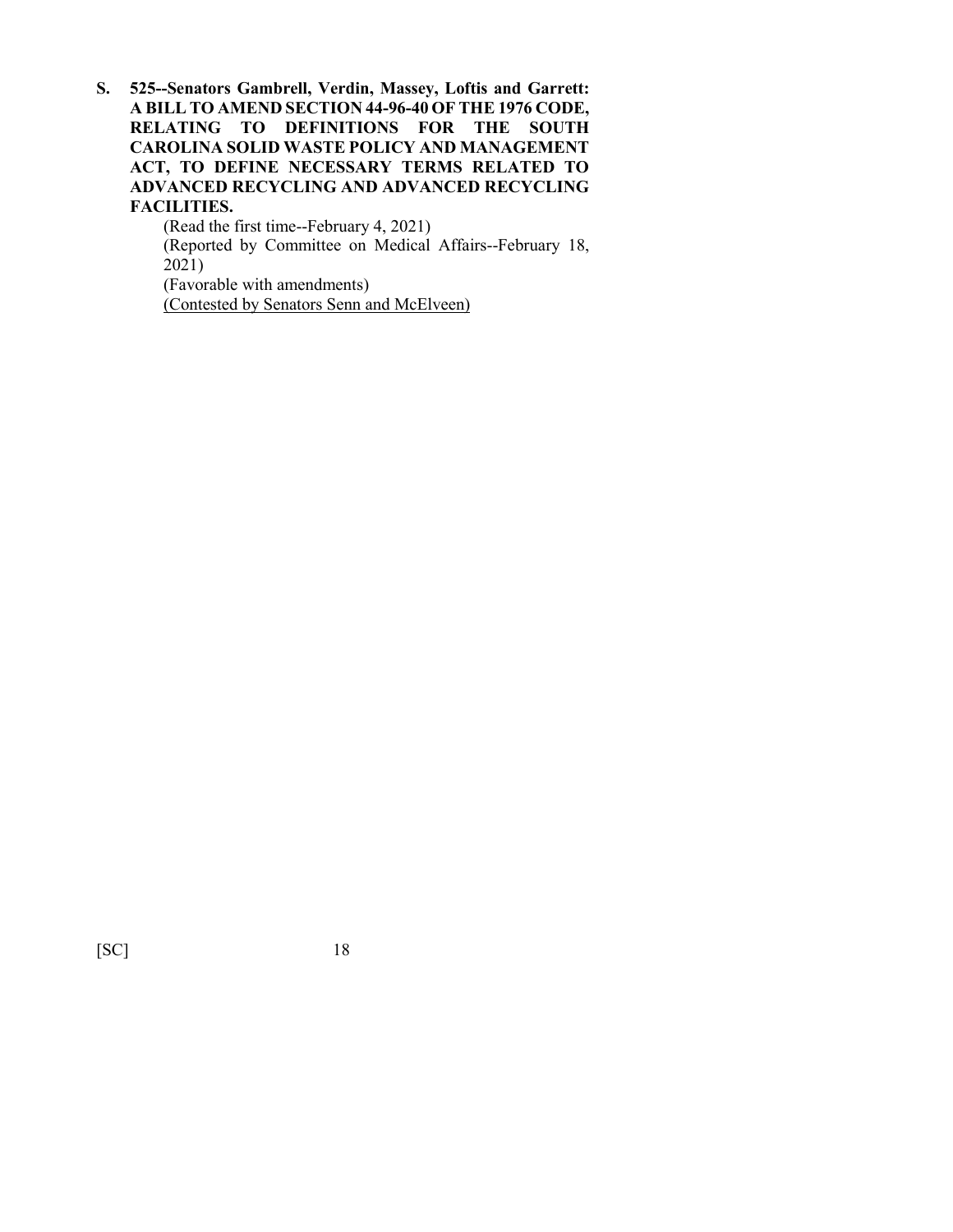**S. 525--Senators Gambrell, Verdin, Massey, Loftis and Garrett: A BILL TO AMEND SECTION 44-96-40 OF THE 1976 CODE, RELATING TO DEFINITIONS FOR THE SOUTH CAROLINA SOLID WASTE POLICY AND MANAGEMENT ACT, TO DEFINE NECESSARY TERMS RELATED TO ADVANCED RECYCLING AND ADVANCED RECYCLING FACILITIES.**

> (Read the first time--February 4, 2021) (Reported by Committee on Medical Affairs--February 18, 2021) (Favorable with amendments) (Contested by Senators Senn and McElveen)